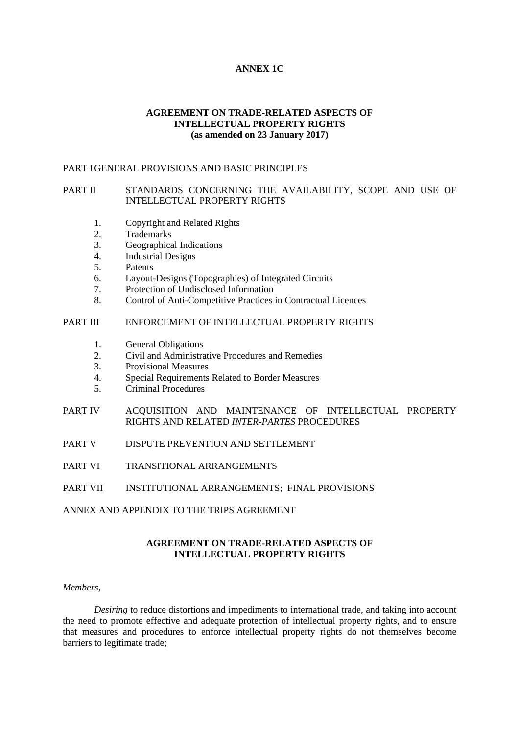# **ANNEX 1C**

# **AGREEMENT ON TRADE-RELATED ASPECTS OF INTELLECTUAL PROPERTY RIGHTS (as amended on 23 January 2017)**

### PART I GENERAL PROVISIONS AND BASIC PRINCIPLES

# PART II STANDARDS CONCERNING THE AVAILABILITY, SCOPE AND USE OF INTELLECTUAL PROPERTY RIGHTS

- 1. Copyright and Related Rights
- 2. Trademarks
- 3. Geographical Indications
- 4. Industrial Designs
- 5. Patents
- 6. Layout-Designs (Topographies) of Integrated Circuits
- 7. Protection of Undisclosed Information
- 8. Control of Anti-Competitive Practices in Contractual Licences

# PART III ENFORCEMENT OF INTELLECTUAL PROPERTY RIGHTS

- 1. General Obligations
- 2. Civil and Administrative Procedures and Remedies
- 3. Provisional Measures
- 4. Special Requirements Related to Border Measures
- 5. Criminal Procedures
- PART IV ACQUISITION AND MAINTENANCE OF INTELLECTUAL PROPERTY RIGHTS AND RELATED *INTER-PARTES* PROCEDURES
- PART V DISPUTE PREVENTION AND SETTLEMENT
- PART VI TRANSITIONAL ARRANGEMENTS
- PART VII INSTITUTIONAL ARRANGEMENTS; FINAL PROVISIONS

ANNEX AND APPENDIX TO THE TRIPS AGREEMENT

# **AGREEMENT ON TRADE-RELATED ASPECTS OF INTELLECTUAL PROPERTY RIGHTS**

### *Members,*

*Desiring* to reduce distortions and impediments to international trade, and taking into account the need to promote effective and adequate protection of intellectual property rights, and to ensure that measures and procedures to enforce intellectual property rights do not themselves become barriers to legitimate trade;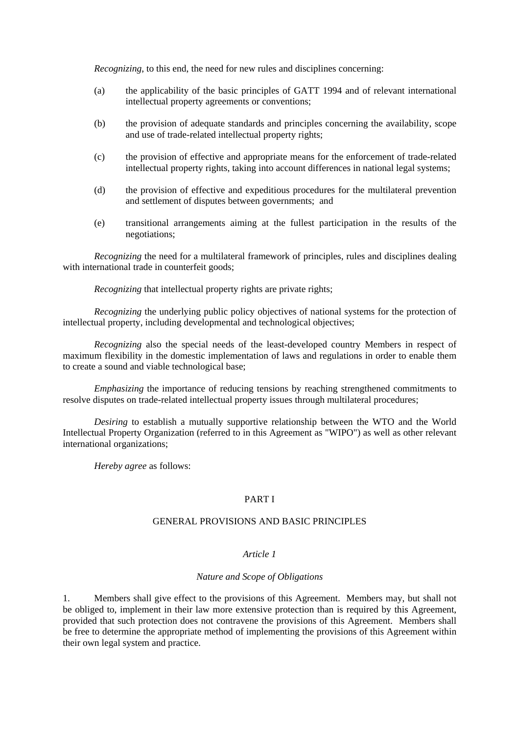*Recognizing*, to this end, the need for new rules and disciplines concerning:

- (a) the applicability of the basic principles of GATT 1994 and of relevant international intellectual property agreements or conventions;
- (b) the provision of adequate standards and principles concerning the availability, scope and use of trade-related intellectual property rights;
- (c) the provision of effective and appropriate means for the enforcement of trade-related intellectual property rights, taking into account differences in national legal systems;
- (d) the provision of effective and expeditious procedures for the multilateral prevention and settlement of disputes between governments; and
- (e) transitional arrangements aiming at the fullest participation in the results of the negotiations;

*Recognizing* the need for a multilateral framework of principles, rules and disciplines dealing with international trade in counterfeit goods;

*Recognizing* that intellectual property rights are private rights;

*Recognizing* the underlying public policy objectives of national systems for the protection of intellectual property, including developmental and technological objectives;

*Recognizing* also the special needs of the least-developed country Members in respect of maximum flexibility in the domestic implementation of laws and regulations in order to enable them to create a sound and viable technological base;

*Emphasizing* the importance of reducing tensions by reaching strengthened commitments to resolve disputes on trade-related intellectual property issues through multilateral procedures;

*Desiring* to establish a mutually supportive relationship between the WTO and the World Intellectual Property Organization (referred to in this Agreement as "WIPO") as well as other relevant international organizations;

*Hereby agree* as follows:

# PART I

# GENERAL PROVISIONS AND BASIC PRINCIPLES

# *Article 1*

### *Nature and Scope of Obligations*

1. Members shall give effect to the provisions of this Agreement. Members may, but shall not be obliged to, implement in their law more extensive protection than is required by this Agreement, provided that such protection does not contravene the provisions of this Agreement. Members shall be free to determine the appropriate method of implementing the provisions of this Agreement within their own legal system and practice.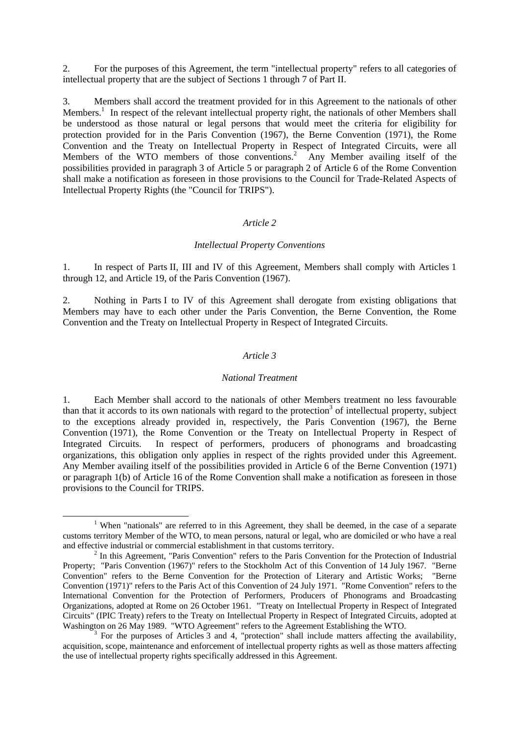2. For the purposes of this Agreement, the term "intellectual property" refers to all categories of intellectual property that are the subject of Sections 1 through 7 of Part II.

3. Members shall accord the treatment provided for in this Agreement to the nationals of other Members.<sup>1</sup> In respect of the relevant intellectual property right, the nationals of other Members shall be understood as those natural or legal persons that would meet the criteria for eligibility for protection provided for in the Paris Convention (1967), the Berne Convention (1971), the Rome Convention and the Treaty on Intellectual Property in Respect of Integrated Circuits, were all Members of the WTO members of those conventions.<sup>2</sup> Any Member availing itself of the possibilities provided in paragraph 3 of Article 5 or paragraph 2 of Article 6 of the Rome Convention shall make a notification as foreseen in those provisions to the Council for Trade-Related Aspects of Intellectual Property Rights (the "Council for TRIPS").

### *Article 2*

## *Intellectual Property Conventions*

1. In respect of Parts II, III and IV of this Agreement, Members shall comply with Articles 1 through 12, and Article 19, of the Paris Convention (1967).

2. Nothing in Parts I to IV of this Agreement shall derogate from existing obligations that Members may have to each other under the Paris Convention, the Berne Convention, the Rome Convention and the Treaty on Intellectual Property in Respect of Integrated Circuits.

#### *Article 3*

### *National Treatment*

1. Each Member shall accord to the nationals of other Members treatment no less favourable than that it accords to its own nationals with regard to the protection<sup>3</sup> of intellectual property, subject to the exceptions already provided in, respectively, the Paris Convention (1967), the Berne Convention (1971), the Rome Convention or the Treaty on Intellectual Property in Respect of Integrated Circuits. In respect of performers, producers of phonograms and broadcasting organizations, this obligation only applies in respect of the rights provided under this Agreement. Any Member availing itself of the possibilities provided in Article 6 of the Berne Convention (1971) or paragraph 1(b) of Article 16 of the Rome Convention shall make a notification as foreseen in those provisions to the Council for TRIPS.

<sup>&</sup>lt;u>1</u> <sup>1</sup> When "nationals" are referred to in this Agreement, they shall be deemed, in the case of a separate customs territory Member of the WTO, to mean persons, natural or legal, who are domiciled or who have a real and effective industrial or commercial establishment in that customs territory.

 $<sup>2</sup>$  In this Agreement, "Paris Convention" refers to the Paris Convention for the Protection of Industrial</sup> Property; "Paris Convention (1967)" refers to the Stockholm Act of this Convention of 14 July 1967. "Berne Convention" refers to the Berne Convention for the Protection of Literary and Artistic Works; "Berne Convention (1971)" refers to the Paris Act of this Convention of 24 July 1971. "Rome Convention" refers to the International Convention for the Protection of Performers, Producers of Phonograms and Broadcasting Organizations, adopted at Rome on 26 October 1961. "Treaty on Intellectual Property in Respect of Integrated Circuits" (IPIC Treaty) refers to the Treaty on Intellectual Property in Respect of Integrated Circuits, adopted at Washington on 26 May 1989. "WTO Agreement" refers to the Agreement Establishing the WTO. 3

 $\frac{1}{3}$  For the purposes of Articles 3 and 4, "protection" shall include matters affecting the availability, acquisition, scope, maintenance and enforcement of intellectual property rights as well as those matters affecting the use of intellectual property rights specifically addressed in this Agreement.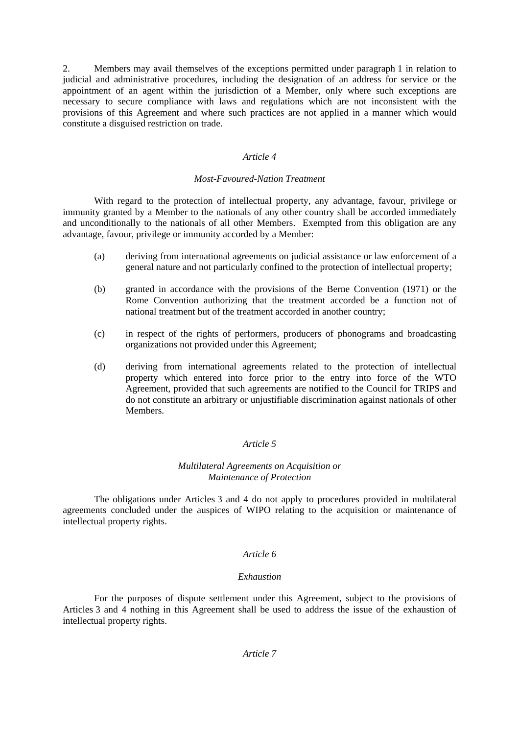2. Members may avail themselves of the exceptions permitted under paragraph 1 in relation to judicial and administrative procedures, including the designation of an address for service or the appointment of an agent within the jurisdiction of a Member, only where such exceptions are necessary to secure compliance with laws and regulations which are not inconsistent with the provisions of this Agreement and where such practices are not applied in a manner which would constitute a disguised restriction on trade.

# *Article 4*

#### *Most-Favoured-Nation Treatment*

 With regard to the protection of intellectual property, any advantage, favour, privilege or immunity granted by a Member to the nationals of any other country shall be accorded immediately and unconditionally to the nationals of all other Members. Exempted from this obligation are any advantage, favour, privilege or immunity accorded by a Member:

- (a) deriving from international agreements on judicial assistance or law enforcement of a general nature and not particularly confined to the protection of intellectual property;
- (b) granted in accordance with the provisions of the Berne Convention (1971) or the Rome Convention authorizing that the treatment accorded be a function not of national treatment but of the treatment accorded in another country;
- (c) in respect of the rights of performers, producers of phonograms and broadcasting organizations not provided under this Agreement;
- (d) deriving from international agreements related to the protection of intellectual property which entered into force prior to the entry into force of the WTO Agreement, provided that such agreements are notified to the Council for TRIPS and do not constitute an arbitrary or unjustifiable discrimination against nationals of other Members.

# *Article 5*

## *Multilateral Agreements on Acquisition or Maintenance of Protection*

 The obligations under Articles 3 and 4 do not apply to procedures provided in multilateral agreements concluded under the auspices of WIPO relating to the acquisition or maintenance of intellectual property rights.

### *Article 6*

#### *Exhaustion*

 For the purposes of dispute settlement under this Agreement, subject to the provisions of Articles 3 and 4 nothing in this Agreement shall be used to address the issue of the exhaustion of intellectual property rights.

# *Article 7*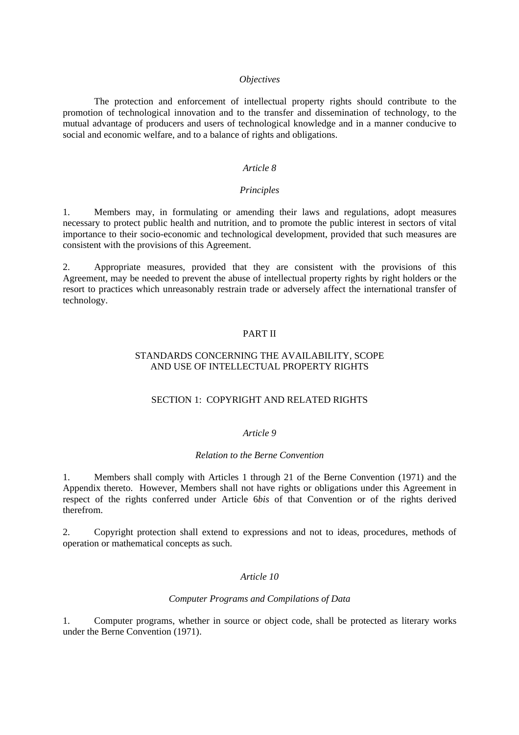#### *Objectives*

 The protection and enforcement of intellectual property rights should contribute to the promotion of technological innovation and to the transfer and dissemination of technology, to the mutual advantage of producers and users of technological knowledge and in a manner conducive to social and economic welfare, and to a balance of rights and obligations.

# *Article 8*

# *Principles*

1. Members may, in formulating or amending their laws and regulations, adopt measures necessary to protect public health and nutrition, and to promote the public interest in sectors of vital importance to their socio-economic and technological development, provided that such measures are consistent with the provisions of this Agreement.

2. Appropriate measures, provided that they are consistent with the provisions of this Agreement, may be needed to prevent the abuse of intellectual property rights by right holders or the resort to practices which unreasonably restrain trade or adversely affect the international transfer of technology.

# PART II

## STANDARDS CONCERNING THE AVAILABILITY, SCOPE AND USE OF INTELLECTUAL PROPERTY RIGHTS

# SECTION 1: COPYRIGHT AND RELATED RIGHTS

### *Article 9*

### *Relation to the Berne Convention*

1. Members shall comply with Articles 1 through 21 of the Berne Convention (1971) and the Appendix thereto. However, Members shall not have rights or obligations under this Agreement in respect of the rights conferred under Article 6*bis* of that Convention or of the rights derived therefrom.

2. Copyright protection shall extend to expressions and not to ideas, procedures, methods of operation or mathematical concepts as such.

### *Article 10*

# *Computer Programs and Compilations of Data*

1. Computer programs, whether in source or object code, shall be protected as literary works under the Berne Convention (1971).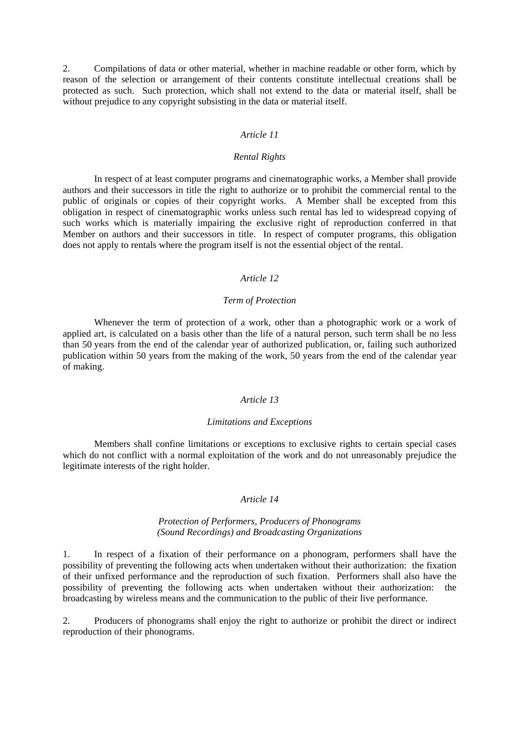2. Compilations of data or other material, whether in machine readable or other form, which by reason of the selection or arrangement of their contents constitute intellectual creations shall be protected as such. Such protection, which shall not extend to the data or material itself, shall be without prejudice to any copyright subsisting in the data or material itself.

#### *Article 11*

# *Rental Rights*

 In respect of at least computer programs and cinematographic works, a Member shall provide authors and their successors in title the right to authorize or to prohibit the commercial rental to the public of originals or copies of their copyright works. A Member shall be excepted from this obligation in respect of cinematographic works unless such rental has led to widespread copying of such works which is materially impairing the exclusive right of reproduction conferred in that Member on authors and their successors in title. In respect of computer programs, this obligation does not apply to rentals where the program itself is not the essential object of the rental.

## *Article 12*

## *Term of Protection*

 Whenever the term of protection of a work, other than a photographic work or a work of applied art, is calculated on a basis other than the life of a natural person, such term shall be no less than 50 years from the end of the calendar year of authorized publication, or, failing such authorized publication within 50 years from the making of the work, 50 years from the end of the calendar year of making.

### *Article 13*

#### *Limitations and Exceptions*

 Members shall confine limitations or exceptions to exclusive rights to certain special cases which do not conflict with a normal exploitation of the work and do not unreasonably prejudice the legitimate interests of the right holder.

### *Article 14*

### *Protection of Performers, Producers of Phonograms (Sound Recordings) and Broadcasting Organizations*

1. In respect of a fixation of their performance on a phonogram, performers shall have the possibility of preventing the following acts when undertaken without their authorization: the fixation of their unfixed performance and the reproduction of such fixation. Performers shall also have the possibility of preventing the following acts when undertaken without their authorization: the broadcasting by wireless means and the communication to the public of their live performance.

2. Producers of phonograms shall enjoy the right to authorize or prohibit the direct or indirect reproduction of their phonograms.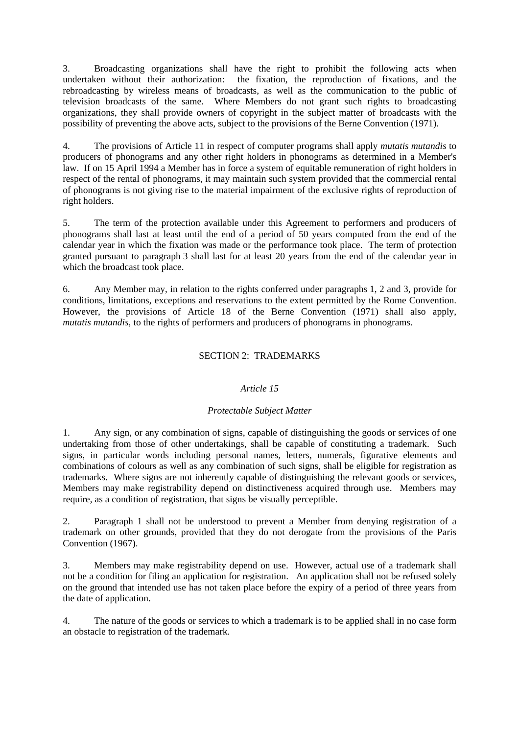3. Broadcasting organizations shall have the right to prohibit the following acts when undertaken without their authorization: the fixation, the reproduction of fixations, and the rebroadcasting by wireless means of broadcasts, as well as the communication to the public of television broadcasts of the same. Where Members do not grant such rights to broadcasting organizations, they shall provide owners of copyright in the subject matter of broadcasts with the possibility of preventing the above acts, subject to the provisions of the Berne Convention (1971).

4. The provisions of Article 11 in respect of computer programs shall apply *mutatis mutandis* to producers of phonograms and any other right holders in phonograms as determined in a Member's law. If on 15 April 1994 a Member has in force a system of equitable remuneration of right holders in respect of the rental of phonograms, it may maintain such system provided that the commercial rental of phonograms is not giving rise to the material impairment of the exclusive rights of reproduction of right holders.

5. The term of the protection available under this Agreement to performers and producers of phonograms shall last at least until the end of a period of 50 years computed from the end of the calendar year in which the fixation was made or the performance took place. The term of protection granted pursuant to paragraph 3 shall last for at least 20 years from the end of the calendar year in which the broadcast took place.

6. Any Member may, in relation to the rights conferred under paragraphs 1, 2 and 3, provide for conditions, limitations, exceptions and reservations to the extent permitted by the Rome Convention. However, the provisions of Article 18 of the Berne Convention (1971) shall also apply, *mutatis mutandis*, to the rights of performers and producers of phonograms in phonograms.

# SECTION 2: TRADEMARKS

# *Article 15*

# *Protectable Subject Matter*

1. Any sign, or any combination of signs, capable of distinguishing the goods or services of one undertaking from those of other undertakings, shall be capable of constituting a trademark. Such signs, in particular words including personal names, letters, numerals, figurative elements and combinations of colours as well as any combination of such signs, shall be eligible for registration as trademarks. Where signs are not inherently capable of distinguishing the relevant goods or services, Members may make registrability depend on distinctiveness acquired through use. Members may require, as a condition of registration, that signs be visually perceptible.

2. Paragraph 1 shall not be understood to prevent a Member from denying registration of a trademark on other grounds, provided that they do not derogate from the provisions of the Paris Convention (1967).

3. Members may make registrability depend on use. However, actual use of a trademark shall not be a condition for filing an application for registration. An application shall not be refused solely on the ground that intended use has not taken place before the expiry of a period of three years from the date of application.

4. The nature of the goods or services to which a trademark is to be applied shall in no case form an obstacle to registration of the trademark.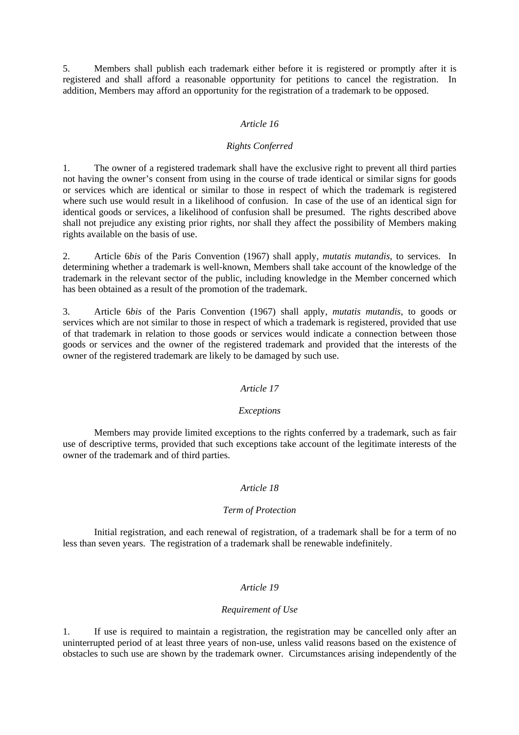5. Members shall publish each trademark either before it is registered or promptly after it is registered and shall afford a reasonable opportunity for petitions to cancel the registration. In addition, Members may afford an opportunity for the registration of a trademark to be opposed.

# *Article 16*

# *Rights Conferred*

1. The owner of a registered trademark shall have the exclusive right to prevent all third parties not having the owner's consent from using in the course of trade identical or similar signs for goods or services which are identical or similar to those in respect of which the trademark is registered where such use would result in a likelihood of confusion. In case of the use of an identical sign for identical goods or services, a likelihood of confusion shall be presumed. The rights described above shall not prejudice any existing prior rights, nor shall they affect the possibility of Members making rights available on the basis of use.

2. Article 6*bis* of the Paris Convention (1967) shall apply, *mutatis mutandis*, to services. In determining whether a trademark is well-known, Members shall take account of the knowledge of the trademark in the relevant sector of the public, including knowledge in the Member concerned which has been obtained as a result of the promotion of the trademark.

3. Article 6*bis* of the Paris Convention (1967) shall apply, *mutatis mutandis*, to goods or services which are not similar to those in respect of which a trademark is registered, provided that use of that trademark in relation to those goods or services would indicate a connection between those goods or services and the owner of the registered trademark and provided that the interests of the owner of the registered trademark are likely to be damaged by such use.

# *Article 17*

# *Exceptions*

 Members may provide limited exceptions to the rights conferred by a trademark, such as fair use of descriptive terms, provided that such exceptions take account of the legitimate interests of the owner of the trademark and of third parties.

# *Article 18*

# *Term of Protection*

 Initial registration, and each renewal of registration, of a trademark shall be for a term of no less than seven years. The registration of a trademark shall be renewable indefinitely.

# *Article 19*

# *Requirement of Use*

1. If use is required to maintain a registration, the registration may be cancelled only after an uninterrupted period of at least three years of non-use, unless valid reasons based on the existence of obstacles to such use are shown by the trademark owner. Circumstances arising independently of the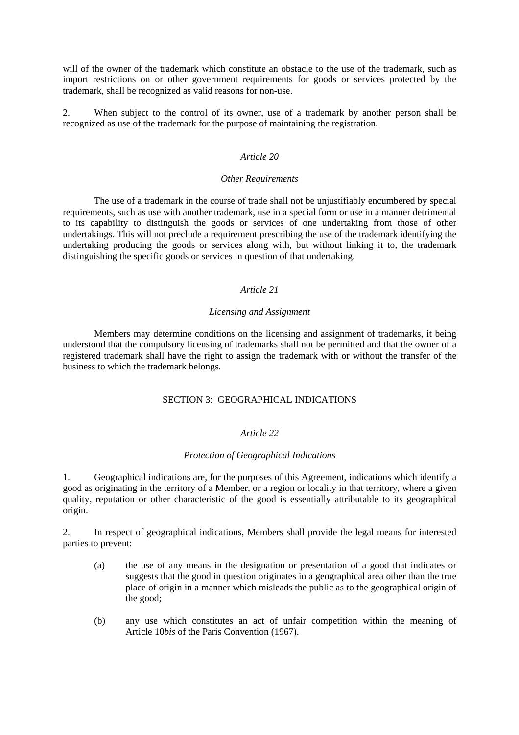will of the owner of the trademark which constitute an obstacle to the use of the trademark, such as import restrictions on or other government requirements for goods or services protected by the trademark, shall be recognized as valid reasons for non-use.

2. When subject to the control of its owner, use of a trademark by another person shall be recognized as use of the trademark for the purpose of maintaining the registration.

# *Article 20*

### *Other Requirements*

 The use of a trademark in the course of trade shall not be unjustifiably encumbered by special requirements, such as use with another trademark, use in a special form or use in a manner detrimental to its capability to distinguish the goods or services of one undertaking from those of other undertakings. This will not preclude a requirement prescribing the use of the trademark identifying the undertaking producing the goods or services along with, but without linking it to, the trademark distinguishing the specific goods or services in question of that undertaking.

# *Article 21*

# *Licensing and Assignment*

 Members may determine conditions on the licensing and assignment of trademarks, it being understood that the compulsory licensing of trademarks shall not be permitted and that the owner of a registered trademark shall have the right to assign the trademark with or without the transfer of the business to which the trademark belongs.

# SECTION 3: GEOGRAPHICAL INDICATIONS

# *Article 22*

# *Protection of Geographical Indications*

1. Geographical indications are, for the purposes of this Agreement, indications which identify a good as originating in the territory of a Member, or a region or locality in that territory, where a given quality, reputation or other characteristic of the good is essentially attributable to its geographical origin.

2. In respect of geographical indications, Members shall provide the legal means for interested parties to prevent:

- (a) the use of any means in the designation or presentation of a good that indicates or suggests that the good in question originates in a geographical area other than the true place of origin in a manner which misleads the public as to the geographical origin of the good;
- (b) any use which constitutes an act of unfair competition within the meaning of Article 10*bis* of the Paris Convention (1967).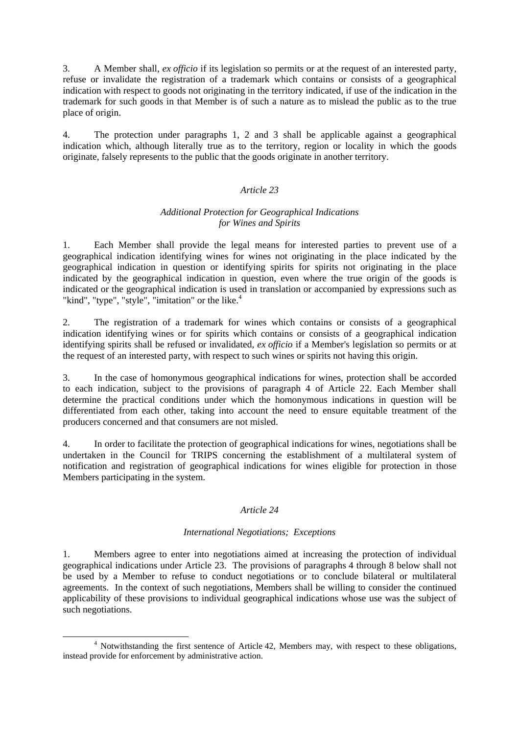3. A Member shall, *ex officio* if its legislation so permits or at the request of an interested party, refuse or invalidate the registration of a trademark which contains or consists of a geographical indication with respect to goods not originating in the territory indicated, if use of the indication in the trademark for such goods in that Member is of such a nature as to mislead the public as to the true place of origin.

4. The protection under paragraphs 1, 2 and 3 shall be applicable against a geographical indication which, although literally true as to the territory, region or locality in which the goods originate, falsely represents to the public that the goods originate in another territory.

# *Article 23*

# *Additional Protection for Geographical Indications for Wines and Spirits*

1. Each Member shall provide the legal means for interested parties to prevent use of a geographical indication identifying wines for wines not originating in the place indicated by the geographical indication in question or identifying spirits for spirits not originating in the place indicated by the geographical indication in question, even where the true origin of the goods is indicated or the geographical indication is used in translation or accompanied by expressions such as "kind", "type", "style", "imitation" or the like. $4$ 

2. The registration of a trademark for wines which contains or consists of a geographical indication identifying wines or for spirits which contains or consists of a geographical indication identifying spirits shall be refused or invalidated, *ex officio* if a Member's legislation so permits or at the request of an interested party, with respect to such wines or spirits not having this origin.

3. In the case of homonymous geographical indications for wines, protection shall be accorded to each indication, subject to the provisions of paragraph 4 of Article 22. Each Member shall determine the practical conditions under which the homonymous indications in question will be differentiated from each other, taking into account the need to ensure equitable treatment of the producers concerned and that consumers are not misled.

4. In order to facilitate the protection of geographical indications for wines, negotiations shall be undertaken in the Council for TRIPS concerning the establishment of a multilateral system of notification and registration of geographical indications for wines eligible for protection in those Members participating in the system.

# *Article 24*

# *International Negotiations; Exceptions*

1. Members agree to enter into negotiations aimed at increasing the protection of individual geographical indications under Article 23. The provisions of paragraphs 4 through 8 below shall not be used by a Member to refuse to conduct negotiations or to conclude bilateral or multilateral agreements. In the context of such negotiations, Members shall be willing to consider the continued applicability of these provisions to individual geographical indications whose use was the subject of such negotiations.

 $\overline{a}$ <sup>4</sup> Notwithstanding the first sentence of Article 42, Members may, with respect to these obligations, instead provide for enforcement by administrative action.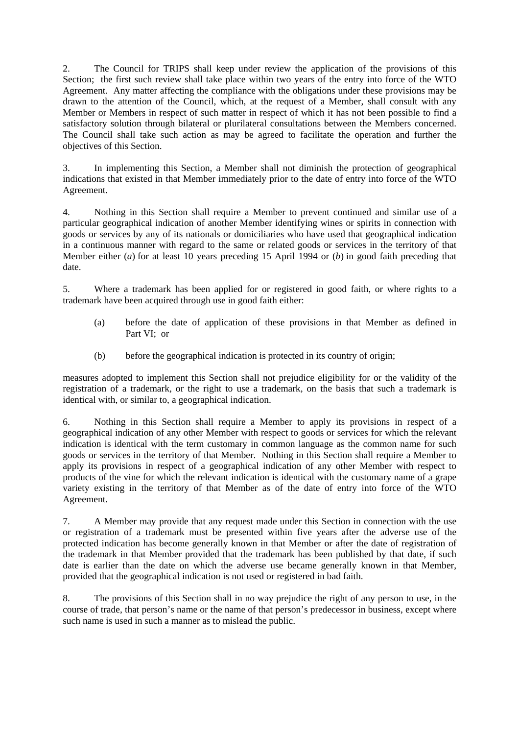2. The Council for TRIPS shall keep under review the application of the provisions of this Section; the first such review shall take place within two years of the entry into force of the WTO Agreement. Any matter affecting the compliance with the obligations under these provisions may be drawn to the attention of the Council, which, at the request of a Member, shall consult with any Member or Members in respect of such matter in respect of which it has not been possible to find a satisfactory solution through bilateral or plurilateral consultations between the Members concerned. The Council shall take such action as may be agreed to facilitate the operation and further the objectives of this Section.

3. In implementing this Section, a Member shall not diminish the protection of geographical indications that existed in that Member immediately prior to the date of entry into force of the WTO Agreement.

4. Nothing in this Section shall require a Member to prevent continued and similar use of a particular geographical indication of another Member identifying wines or spirits in connection with goods or services by any of its nationals or domiciliaries who have used that geographical indication in a continuous manner with regard to the same or related goods or services in the territory of that Member either (*a*) for at least 10 years preceding 15 April 1994 or (*b*) in good faith preceding that date.

5. Where a trademark has been applied for or registered in good faith, or where rights to a trademark have been acquired through use in good faith either:

- (a) before the date of application of these provisions in that Member as defined in Part VI: or
- (b) before the geographical indication is protected in its country of origin;

measures adopted to implement this Section shall not prejudice eligibility for or the validity of the registration of a trademark, or the right to use a trademark, on the basis that such a trademark is identical with, or similar to, a geographical indication.

6. Nothing in this Section shall require a Member to apply its provisions in respect of a geographical indication of any other Member with respect to goods or services for which the relevant indication is identical with the term customary in common language as the common name for such goods or services in the territory of that Member. Nothing in this Section shall require a Member to apply its provisions in respect of a geographical indication of any other Member with respect to products of the vine for which the relevant indication is identical with the customary name of a grape variety existing in the territory of that Member as of the date of entry into force of the WTO Agreement.

7. A Member may provide that any request made under this Section in connection with the use or registration of a trademark must be presented within five years after the adverse use of the protected indication has become generally known in that Member or after the date of registration of the trademark in that Member provided that the trademark has been published by that date, if such date is earlier than the date on which the adverse use became generally known in that Member, provided that the geographical indication is not used or registered in bad faith.

8. The provisions of this Section shall in no way prejudice the right of any person to use, in the course of trade, that person's name or the name of that person's predecessor in business, except where such name is used in such a manner as to mislead the public.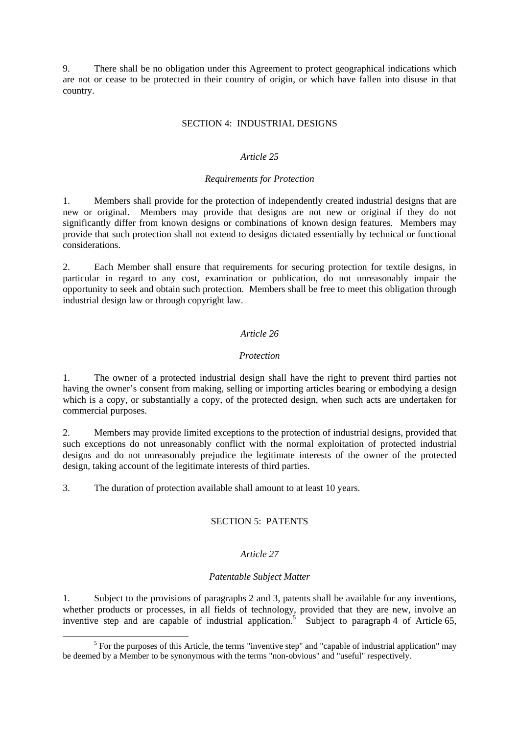9. There shall be no obligation under this Agreement to protect geographical indications which are not or cease to be protected in their country of origin, or which have fallen into disuse in that country.

# SECTION 4: INDUSTRIAL DESIGNS

# *Article 25*

### *Requirements for Protection*

1. Members shall provide for the protection of independently created industrial designs that are new or original. Members may provide that designs are not new or original if they do not significantly differ from known designs or combinations of known design features. Members may provide that such protection shall not extend to designs dictated essentially by technical or functional considerations.

2. Each Member shall ensure that requirements for securing protection for textile designs, in particular in regard to any cost, examination or publication, do not unreasonably impair the opportunity to seek and obtain such protection. Members shall be free to meet this obligation through industrial design law or through copyright law.

## *Article 26*

## *Protection*

1. The owner of a protected industrial design shall have the right to prevent third parties not having the owner's consent from making, selling or importing articles bearing or embodying a design which is a copy, or substantially a copy, of the protected design, when such acts are undertaken for commercial purposes.

2. Members may provide limited exceptions to the protection of industrial designs, provided that such exceptions do not unreasonably conflict with the normal exploitation of protected industrial designs and do not unreasonably prejudice the legitimate interests of the owner of the protected design, taking account of the legitimate interests of third parties.

3. The duration of protection available shall amount to at least 10 years.

# SECTION 5: PATENTS

# *Article 27*

### *Patentable Subject Matter*

1. Subject to the provisions of paragraphs 2 and 3, patents shall be available for any inventions, whether products or processes, in all fields of technology, provided that they are new, involve an inventive step and are capable of industrial application.<sup>5</sup> Subject to paragraph 4 of Article 65,

 $\frac{1}{5}$ <sup>5</sup> For the purposes of this Article, the terms "inventive step" and "capable of industrial application" may be deemed by a Member to be synonymous with the terms "non-obvious" and "useful" respectively.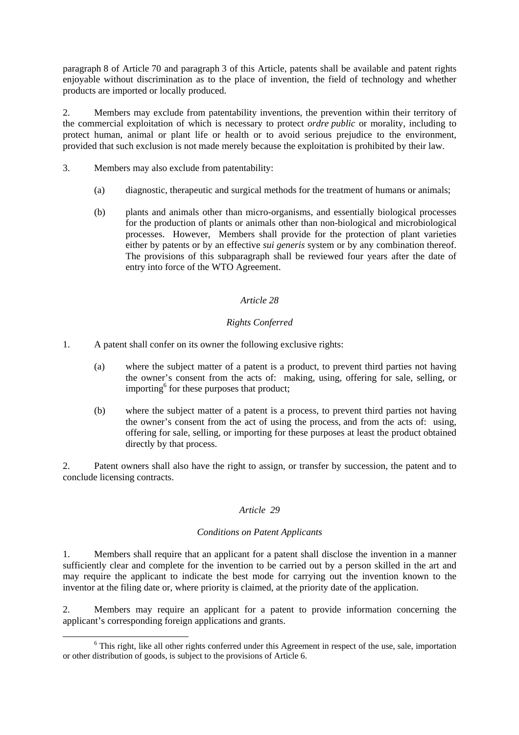paragraph 8 of Article 70 and paragraph 3 of this Article, patents shall be available and patent rights enjoyable without discrimination as to the place of invention, the field of technology and whether products are imported or locally produced.

2. Members may exclude from patentability inventions, the prevention within their territory of the commercial exploitation of which is necessary to protect *ordre public* or morality, including to protect human, animal or plant life or health or to avoid serious prejudice to the environment, provided that such exclusion is not made merely because the exploitation is prohibited by their law.

- 3. Members may also exclude from patentability:
	- (a) diagnostic, therapeutic and surgical methods for the treatment of humans or animals;
	- (b) plants and animals other than micro-organisms, and essentially biological processes for the production of plants or animals other than non-biological and microbiological processes. However, Members shall provide for the protection of plant varieties either by patents or by an effective *sui generis* system or by any combination thereof. The provisions of this subparagraph shall be reviewed four years after the date of entry into force of the WTO Agreement.

# *Article 28*

# *Rights Conferred*

- 1. A patent shall confer on its owner the following exclusive rights:
	- (a) where the subject matter of a patent is a product, to prevent third parties not having the owner's consent from the acts of: making, using, offering for sale, selling, or importing<sup>6</sup> for these purposes that product;
	- (b) where the subject matter of a patent is a process, to prevent third parties not having the owner's consent from the act of using the process, and from the acts of: using, offering for sale, selling, or importing for these purposes at least the product obtained directly by that process.

2. Patent owners shall also have the right to assign, or transfer by succession, the patent and to conclude licensing contracts.

# *Article 29*

# *Conditions on Patent Applicants*

1. Members shall require that an applicant for a patent shall disclose the invention in a manner sufficiently clear and complete for the invention to be carried out by a person skilled in the art and may require the applicant to indicate the best mode for carrying out the invention known to the inventor at the filing date or, where priority is claimed, at the priority date of the application.

2. Members may require an applicant for a patent to provide information concerning the applicant's corresponding foreign applications and grants.

 $\overline{6}$  $<sup>6</sup>$  This right, like all other rights conferred under this Agreement in respect of the use, sale, importation</sup> or other distribution of goods, is subject to the provisions of Article 6.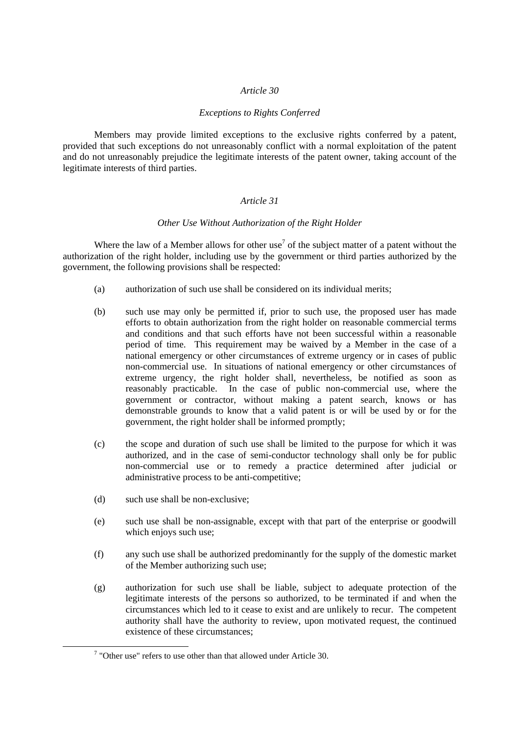# *Article 30*

## *Exceptions to Rights Conferred*

 Members may provide limited exceptions to the exclusive rights conferred by a patent, provided that such exceptions do not unreasonably conflict with a normal exploitation of the patent and do not unreasonably prejudice the legitimate interests of the patent owner, taking account of the legitimate interests of third parties.

# *Article 31*

## *Other Use Without Authorization of the Right Holder*

Where the law of a Member allows for other use<sup>7</sup> of the subject matter of a patent without the authorization of the right holder, including use by the government or third parties authorized by the government, the following provisions shall be respected:

- (a) authorization of such use shall be considered on its individual merits;
- (b) such use may only be permitted if, prior to such use, the proposed user has made efforts to obtain authorization from the right holder on reasonable commercial terms and conditions and that such efforts have not been successful within a reasonable period of time. This requirement may be waived by a Member in the case of a national emergency or other circumstances of extreme urgency or in cases of public non-commercial use. In situations of national emergency or other circumstances of extreme urgency, the right holder shall, nevertheless, be notified as soon as reasonably practicable. In the case of public non-commercial use, where the government or contractor, without making a patent search, knows or has demonstrable grounds to know that a valid patent is or will be used by or for the government, the right holder shall be informed promptly;
- (c) the scope and duration of such use shall be limited to the purpose for which it was authorized, and in the case of semi-conductor technology shall only be for public non-commercial use or to remedy a practice determined after judicial or administrative process to be anti-competitive;
- (d) such use shall be non-exclusive;
- (e) such use shall be non-assignable, except with that part of the enterprise or goodwill which enjoys such use;
- (f) any such use shall be authorized predominantly for the supply of the domestic market of the Member authorizing such use;
- (g) authorization for such use shall be liable, subject to adequate protection of the legitimate interests of the persons so authorized, to be terminated if and when the circumstances which led to it cease to exist and are unlikely to recur. The competent authority shall have the authority to review, upon motivated request, the continued existence of these circumstances;

 $\overline{\phantom{a}}$  $\frac{7}{7}$  "Other use" refers to use other than that allowed under Article 30.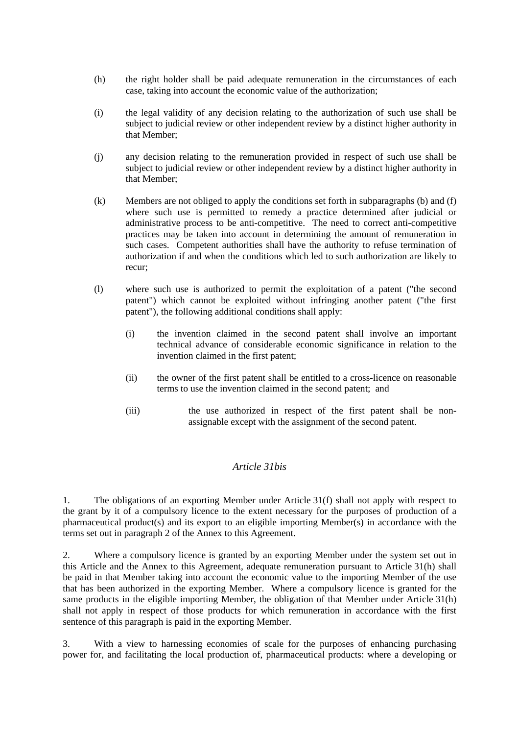- (h) the right holder shall be paid adequate remuneration in the circumstances of each case, taking into account the economic value of the authorization;
- (i) the legal validity of any decision relating to the authorization of such use shall be subject to judicial review or other independent review by a distinct higher authority in that Member;
- (j) any decision relating to the remuneration provided in respect of such use shall be subject to judicial review or other independent review by a distinct higher authority in that Member;
- (k) Members are not obliged to apply the conditions set forth in subparagraphs (b) and (f) where such use is permitted to remedy a practice determined after judicial or administrative process to be anti-competitive. The need to correct anti-competitive practices may be taken into account in determining the amount of remuneration in such cases. Competent authorities shall have the authority to refuse termination of authorization if and when the conditions which led to such authorization are likely to recur;
- (l) where such use is authorized to permit the exploitation of a patent ("the second patent") which cannot be exploited without infringing another patent ("the first patent"), the following additional conditions shall apply:
	- (i) the invention claimed in the second patent shall involve an important technical advance of considerable economic significance in relation to the invention claimed in the first patent;
	- (ii) the owner of the first patent shall be entitled to a cross-licence on reasonable terms to use the invention claimed in the second patent; and
	- (iii) the use authorized in respect of the first patent shall be nonassignable except with the assignment of the second patent.

# *Article 31bis*

1. The obligations of an exporting Member under Article 31(f) shall not apply with respect to the grant by it of a compulsory licence to the extent necessary for the purposes of production of a pharmaceutical product(s) and its export to an eligible importing Member(s) in accordance with the terms set out in paragraph 2 of the Annex to this Agreement.

2. Where a compulsory licence is granted by an exporting Member under the system set out in this Article and the Annex to this Agreement, adequate remuneration pursuant to Article 31(h) shall be paid in that Member taking into account the economic value to the importing Member of the use that has been authorized in the exporting Member. Where a compulsory licence is granted for the same products in the eligible importing Member, the obligation of that Member under Article 31(h) shall not apply in respect of those products for which remuneration in accordance with the first sentence of this paragraph is paid in the exporting Member.

3. With a view to harnessing economies of scale for the purposes of enhancing purchasing power for, and facilitating the local production of, pharmaceutical products: where a developing or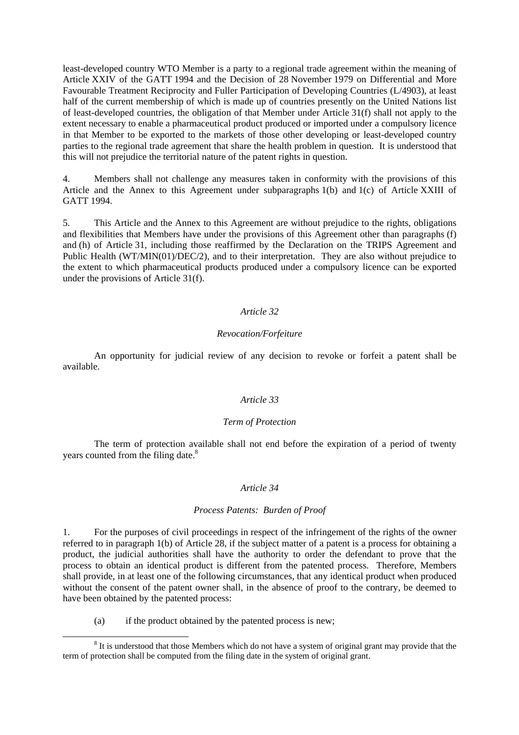least-developed country WTO Member is a party to a regional trade agreement within the meaning of Article XXIV of the GATT 1994 and the Decision of 28 November 1979 on Differential and More Favourable Treatment Reciprocity and Fuller Participation of Developing Countries (L/4903), at least half of the current membership of which is made up of countries presently on the United Nations list of least-developed countries, the obligation of that Member under Article 31(f) shall not apply to the extent necessary to enable a pharmaceutical product produced or imported under a compulsory licence in that Member to be exported to the markets of those other developing or least-developed country parties to the regional trade agreement that share the health problem in question. It is understood that this will not prejudice the territorial nature of the patent rights in question.

4. Members shall not challenge any measures taken in conformity with the provisions of this Article and the Annex to this Agreement under subparagraphs 1(b) and 1(c) of Article XXIII of GATT 1994.

5. This Article and the Annex to this Agreement are without prejudice to the rights, obligations and flexibilities that Members have under the provisions of this Agreement other than paragraphs (f) and (h) of Article 31, including those reaffirmed by the Declaration on the TRIPS Agreement and Public Health (WT/MIN(01)/DEC/2), and to their interpretation. They are also without prejudice to the extent to which pharmaceutical products produced under a compulsory licence can be exported under the provisions of Article 31(f).

# *Article 32*

# *Revocation/Forfeiture*

 An opportunity for judicial review of any decision to revoke or forfeit a patent shall be available.

# *Article 33*

# *Term of Protection*

 The term of protection available shall not end before the expiration of a period of twenty years counted from the filing date.<sup>8</sup>

# *Article 34*

# *Process Patents: Burden of Proof*

1. For the purposes of civil proceedings in respect of the infringement of the rights of the owner referred to in paragraph 1(b) of Article 28, if the subject matter of a patent is a process for obtaining a product, the judicial authorities shall have the authority to order the defendant to prove that the process to obtain an identical product is different from the patented process. Therefore, Members shall provide, in at least one of the following circumstances, that any identical product when produced without the consent of the patent owner shall, in the absence of proof to the contrary, be deemed to have been obtained by the patented process:

(a) if the product obtained by the patented process is new;

 <sup>8</sup>  $8$  It is understood that those Members which do not have a system of original grant may provide that the term of protection shall be computed from the filing date in the system of original grant.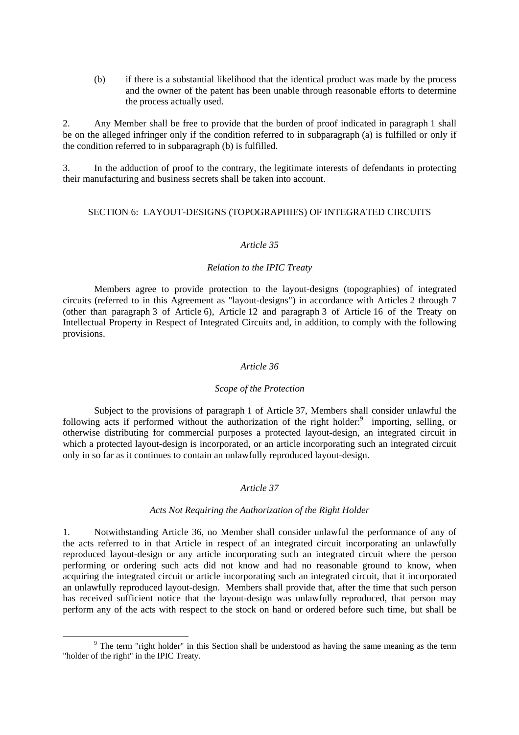(b) if there is a substantial likelihood that the identical product was made by the process and the owner of the patent has been unable through reasonable efforts to determine the process actually used.

2. Any Member shall be free to provide that the burden of proof indicated in paragraph 1 shall be on the alleged infringer only if the condition referred to in subparagraph (a) is fulfilled or only if the condition referred to in subparagraph (b) is fulfilled.

3. In the adduction of proof to the contrary, the legitimate interests of defendants in protecting their manufacturing and business secrets shall be taken into account.

## SECTION 6: LAYOUT-DESIGNS (TOPOGRAPHIES) OF INTEGRATED CIRCUITS

### *Article 35*

### *Relation to the IPIC Treaty*

 Members agree to provide protection to the layout-designs (topographies) of integrated circuits (referred to in this Agreement as "layout-designs") in accordance with Articles 2 through 7 (other than paragraph 3 of Article 6), Article 12 and paragraph 3 of Article 16 of the Treaty on Intellectual Property in Respect of Integrated Circuits and, in addition, to comply with the following provisions.

### *Article 36*

### *Scope of the Protection*

 Subject to the provisions of paragraph 1 of Article 37, Members shall consider unlawful the following acts if performed without the authorization of the right holder:<sup>9</sup> importing, selling, or otherwise distributing for commercial purposes a protected layout-design, an integrated circuit in which a protected layout-design is incorporated, or an article incorporating such an integrated circuit only in so far as it continues to contain an unlawfully reproduced layout-design.

# *Article 37*

## *Acts Not Requiring the Authorization of the Right Holder*

1. Notwithstanding Article 36, no Member shall consider unlawful the performance of any of the acts referred to in that Article in respect of an integrated circuit incorporating an unlawfully reproduced layout-design or any article incorporating such an integrated circuit where the person performing or ordering such acts did not know and had no reasonable ground to know, when acquiring the integrated circuit or article incorporating such an integrated circuit, that it incorporated an unlawfully reproduced layout-design. Members shall provide that, after the time that such person has received sufficient notice that the layout-design was unlawfully reproduced, that person may perform any of the acts with respect to the stock on hand or ordered before such time, but shall be

 <sup>9</sup> <sup>9</sup> The term "right holder" in this Section shall be understood as having the same meaning as the term "holder of the right" in the IPIC Treaty.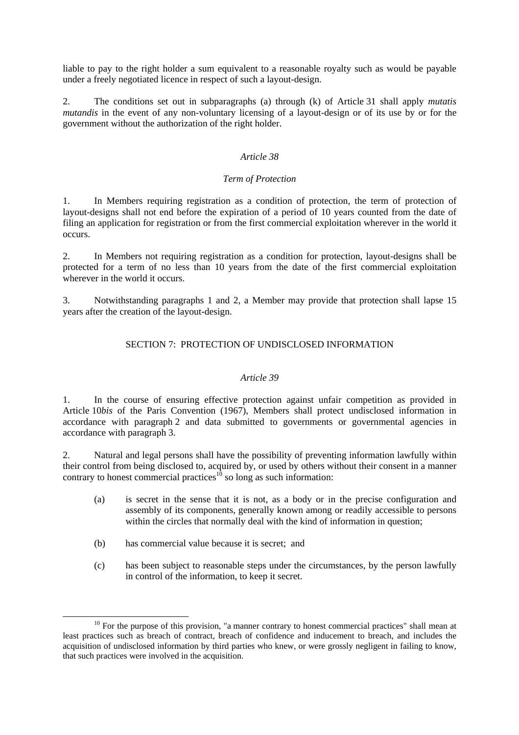liable to pay to the right holder a sum equivalent to a reasonable royalty such as would be payable under a freely negotiated licence in respect of such a layout-design.

2. The conditions set out in subparagraphs (a) through (k) of Article 31 shall apply *mutatis mutandis* in the event of any non-voluntary licensing of a layout-design or of its use by or for the government without the authorization of the right holder.

# *Article 38*

# *Term of Protection*

1. In Members requiring registration as a condition of protection, the term of protection of layout-designs shall not end before the expiration of a period of 10 years counted from the date of filing an application for registration or from the first commercial exploitation wherever in the world it occurs.

2. In Members not requiring registration as a condition for protection, layout-designs shall be protected for a term of no less than 10 years from the date of the first commercial exploitation wherever in the world it occurs.

3. Notwithstanding paragraphs 1 and 2, a Member may provide that protection shall lapse 15 years after the creation of the layout-design.

# SECTION 7: PROTECTION OF UNDISCLOSED INFORMATION

# *Article 39*

1. In the course of ensuring effective protection against unfair competition as provided in Article 10*bis* of the Paris Convention (1967), Members shall protect undisclosed information in accordance with paragraph 2 and data submitted to governments or governmental agencies in accordance with paragraph 3.

2. Natural and legal persons shall have the possibility of preventing information lawfully within their control from being disclosed to, acquired by, or used by others without their consent in a manner contrary to honest commercial practices<sup>10</sup> so long as such information:

- (a) is secret in the sense that it is not, as a body or in the precise configuration and assembly of its components, generally known among or readily accessible to persons within the circles that normally deal with the kind of information in question;
- (b) has commercial value because it is secret; and
- (c) has been subject to reasonable steps under the circumstances, by the person lawfully in control of the information, to keep it secret.

 $10$  For the purpose of this provision, "a manner contrary to honest commercial practices" shall mean at least practices such as breach of contract, breach of confidence and inducement to breach, and includes the acquisition of undisclosed information by third parties who knew, or were grossly negligent in failing to know, that such practices were involved in the acquisition.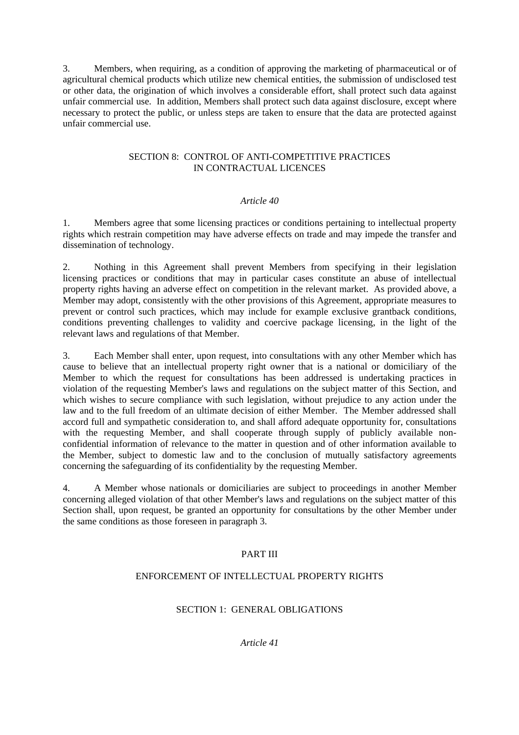3. Members, when requiring, as a condition of approving the marketing of pharmaceutical or of agricultural chemical products which utilize new chemical entities, the submission of undisclosed test or other data, the origination of which involves a considerable effort, shall protect such data against unfair commercial use. In addition, Members shall protect such data against disclosure, except where necessary to protect the public, or unless steps are taken to ensure that the data are protected against unfair commercial use.

## SECTION 8: CONTROL OF ANTI-COMPETITIVE PRACTICES IN CONTRACTUAL LICENCES

# *Article 40*

1. Members agree that some licensing practices or conditions pertaining to intellectual property rights which restrain competition may have adverse effects on trade and may impede the transfer and dissemination of technology.

2. Nothing in this Agreement shall prevent Members from specifying in their legislation licensing practices or conditions that may in particular cases constitute an abuse of intellectual property rights having an adverse effect on competition in the relevant market. As provided above, a Member may adopt, consistently with the other provisions of this Agreement, appropriate measures to prevent or control such practices, which may include for example exclusive grantback conditions, conditions preventing challenges to validity and coercive package licensing, in the light of the relevant laws and regulations of that Member.

3. Each Member shall enter, upon request, into consultations with any other Member which has cause to believe that an intellectual property right owner that is a national or domiciliary of the Member to which the request for consultations has been addressed is undertaking practices in violation of the requesting Member's laws and regulations on the subject matter of this Section, and which wishes to secure compliance with such legislation, without prejudice to any action under the law and to the full freedom of an ultimate decision of either Member. The Member addressed shall accord full and sympathetic consideration to, and shall afford adequate opportunity for, consultations with the requesting Member, and shall cooperate through supply of publicly available nonconfidential information of relevance to the matter in question and of other information available to the Member, subject to domestic law and to the conclusion of mutually satisfactory agreements concerning the safeguarding of its confidentiality by the requesting Member.

4. A Member whose nationals or domiciliaries are subject to proceedings in another Member concerning alleged violation of that other Member's laws and regulations on the subject matter of this Section shall, upon request, be granted an opportunity for consultations by the other Member under the same conditions as those foreseen in paragraph 3.

# PART III

# ENFORCEMENT OF INTELLECTUAL PROPERTY RIGHTS

# SECTION 1: GENERAL OBLIGATIONS

*Article 41*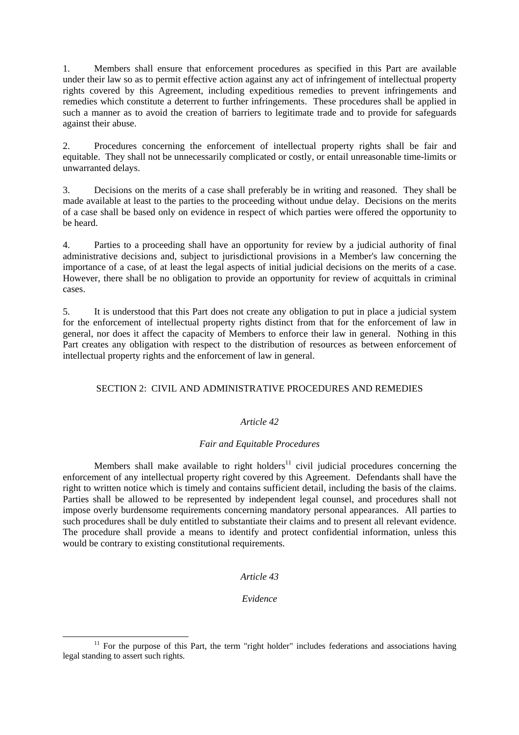1. Members shall ensure that enforcement procedures as specified in this Part are available under their law so as to permit effective action against any act of infringement of intellectual property rights covered by this Agreement, including expeditious remedies to prevent infringements and remedies which constitute a deterrent to further infringements. These procedures shall be applied in such a manner as to avoid the creation of barriers to legitimate trade and to provide for safeguards against their abuse.

2. Procedures concerning the enforcement of intellectual property rights shall be fair and equitable. They shall not be unnecessarily complicated or costly, or entail unreasonable time-limits or unwarranted delays.

3. Decisions on the merits of a case shall preferably be in writing and reasoned. They shall be made available at least to the parties to the proceeding without undue delay. Decisions on the merits of a case shall be based only on evidence in respect of which parties were offered the opportunity to be heard.

4. Parties to a proceeding shall have an opportunity for review by a judicial authority of final administrative decisions and, subject to jurisdictional provisions in a Member's law concerning the importance of a case, of at least the legal aspects of initial judicial decisions on the merits of a case. However, there shall be no obligation to provide an opportunity for review of acquittals in criminal cases.

5. It is understood that this Part does not create any obligation to put in place a judicial system for the enforcement of intellectual property rights distinct from that for the enforcement of law in general, nor does it affect the capacity of Members to enforce their law in general. Nothing in this Part creates any obligation with respect to the distribution of resources as between enforcement of intellectual property rights and the enforcement of law in general.

# SECTION 2: CIVIL AND ADMINISTRATIVE PROCEDURES AND REMEDIES

# *Article 42*

# *Fair and Equitable Procedures*

Members shall make available to right holders<sup>11</sup> civil judicial procedures concerning the enforcement of any intellectual property right covered by this Agreement. Defendants shall have the right to written notice which is timely and contains sufficient detail, including the basis of the claims. Parties shall be allowed to be represented by independent legal counsel, and procedures shall not impose overly burdensome requirements concerning mandatory personal appearances. All parties to such procedures shall be duly entitled to substantiate their claims and to present all relevant evidence. The procedure shall provide a means to identify and protect confidential information, unless this would be contrary to existing constitutional requirements.

# *Article 43*

# *Evidence*

<sup>&</sup>lt;sup>11</sup> For the purpose of this Part, the term "right holder" includes federations and associations having legal standing to assert such rights.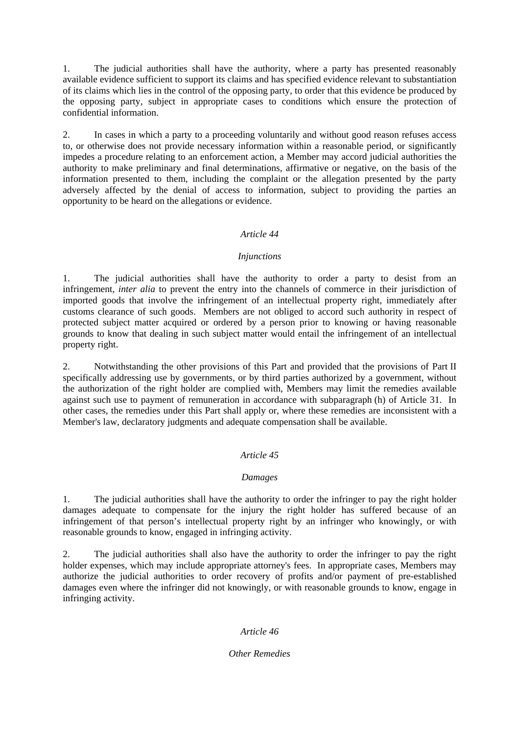1. The judicial authorities shall have the authority, where a party has presented reasonably available evidence sufficient to support its claims and has specified evidence relevant to substantiation of its claims which lies in the control of the opposing party, to order that this evidence be produced by the opposing party, subject in appropriate cases to conditions which ensure the protection of confidential information.

2. In cases in which a party to a proceeding voluntarily and without good reason refuses access to, or otherwise does not provide necessary information within a reasonable period, or significantly impedes a procedure relating to an enforcement action, a Member may accord judicial authorities the authority to make preliminary and final determinations, affirmative or negative, on the basis of the information presented to them, including the complaint or the allegation presented by the party adversely affected by the denial of access to information, subject to providing the parties an opportunity to be heard on the allegations or evidence.

# *Article 44*

# *Injunctions*

1. The judicial authorities shall have the authority to order a party to desist from an infringement, *inter alia* to prevent the entry into the channels of commerce in their jurisdiction of imported goods that involve the infringement of an intellectual property right, immediately after customs clearance of such goods. Members are not obliged to accord such authority in respect of protected subject matter acquired or ordered by a person prior to knowing or having reasonable grounds to know that dealing in such subject matter would entail the infringement of an intellectual property right.

2. Notwithstanding the other provisions of this Part and provided that the provisions of Part II specifically addressing use by governments, or by third parties authorized by a government, without the authorization of the right holder are complied with, Members may limit the remedies available against such use to payment of remuneration in accordance with subparagraph (h) of Article 31. In other cases, the remedies under this Part shall apply or, where these remedies are inconsistent with a Member's law, declaratory judgments and adequate compensation shall be available.

# *Article 45*

# *Damages*

1. The judicial authorities shall have the authority to order the infringer to pay the right holder damages adequate to compensate for the injury the right holder has suffered because of an infringement of that person's intellectual property right by an infringer who knowingly, or with reasonable grounds to know, engaged in infringing activity.

2. The judicial authorities shall also have the authority to order the infringer to pay the right holder expenses, which may include appropriate attorney's fees. In appropriate cases, Members may authorize the judicial authorities to order recovery of profits and/or payment of pre-established damages even where the infringer did not knowingly, or with reasonable grounds to know, engage in infringing activity.

# *Article 46*

# *Other Remedies*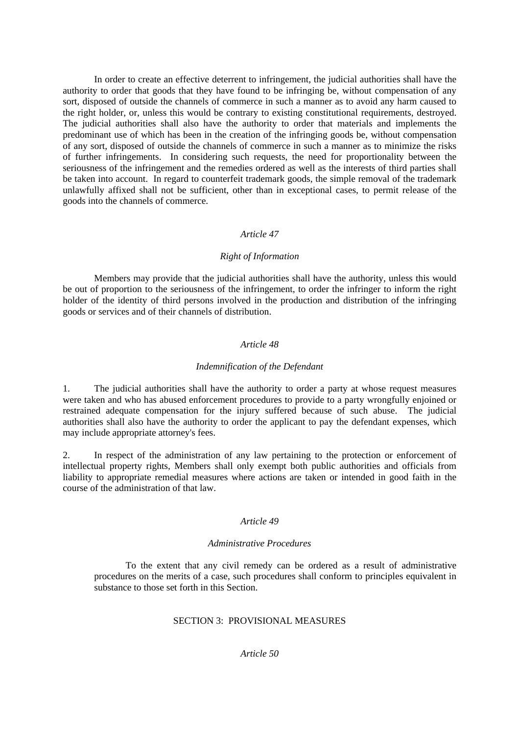In order to create an effective deterrent to infringement, the judicial authorities shall have the authority to order that goods that they have found to be infringing be, without compensation of any sort, disposed of outside the channels of commerce in such a manner as to avoid any harm caused to the right holder, or, unless this would be contrary to existing constitutional requirements, destroyed. The judicial authorities shall also have the authority to order that materials and implements the predominant use of which has been in the creation of the infringing goods be, without compensation of any sort, disposed of outside the channels of commerce in such a manner as to minimize the risks of further infringements. In considering such requests, the need for proportionality between the seriousness of the infringement and the remedies ordered as well as the interests of third parties shall be taken into account. In regard to counterfeit trademark goods, the simple removal of the trademark unlawfully affixed shall not be sufficient, other than in exceptional cases, to permit release of the goods into the channels of commerce.

### *Article 47*

# *Right of Information*

 Members may provide that the judicial authorities shall have the authority, unless this would be out of proportion to the seriousness of the infringement, to order the infringer to inform the right holder of the identity of third persons involved in the production and distribution of the infringing goods or services and of their channels of distribution.

### *Article 48*

#### *Indemnification of the Defendant*

1. The judicial authorities shall have the authority to order a party at whose request measures were taken and who has abused enforcement procedures to provide to a party wrongfully enjoined or restrained adequate compensation for the injury suffered because of such abuse. The judicial authorities shall also have the authority to order the applicant to pay the defendant expenses, which may include appropriate attorney's fees.

2. In respect of the administration of any law pertaining to the protection or enforcement of intellectual property rights, Members shall only exempt both public authorities and officials from liability to appropriate remedial measures where actions are taken or intended in good faith in the course of the administration of that law.

# *Article 49*

#### *Administrative Procedures*

 To the extent that any civil remedy can be ordered as a result of administrative procedures on the merits of a case, such procedures shall conform to principles equivalent in substance to those set forth in this Section.

# SECTION 3: PROVISIONAL MEASURES

# *Article 50*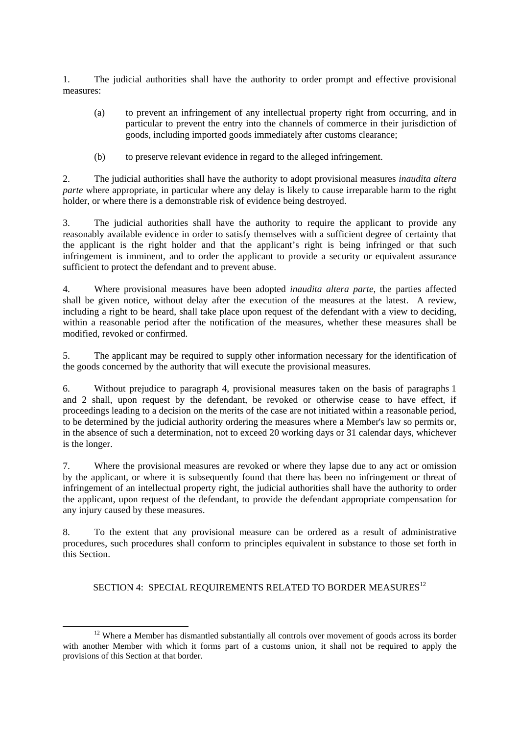1. The judicial authorities shall have the authority to order prompt and effective provisional measures:

- (a) to prevent an infringement of any intellectual property right from occurring, and in particular to prevent the entry into the channels of commerce in their jurisdiction of goods, including imported goods immediately after customs clearance;
- (b) to preserve relevant evidence in regard to the alleged infringement.

2. The judicial authorities shall have the authority to adopt provisional measures *inaudita altera parte* where appropriate, in particular where any delay is likely to cause irreparable harm to the right holder, or where there is a demonstrable risk of evidence being destroyed.

3. The judicial authorities shall have the authority to require the applicant to provide any reasonably available evidence in order to satisfy themselves with a sufficient degree of certainty that the applicant is the right holder and that the applicant's right is being infringed or that such infringement is imminent, and to order the applicant to provide a security or equivalent assurance sufficient to protect the defendant and to prevent abuse.

4. Where provisional measures have been adopted *inaudita altera parte*, the parties affected shall be given notice, without delay after the execution of the measures at the latest. A review, including a right to be heard, shall take place upon request of the defendant with a view to deciding, within a reasonable period after the notification of the measures, whether these measures shall be modified, revoked or confirmed.

5. The applicant may be required to supply other information necessary for the identification of the goods concerned by the authority that will execute the provisional measures.

6. Without prejudice to paragraph 4, provisional measures taken on the basis of paragraphs 1 and 2 shall, upon request by the defendant, be revoked or otherwise cease to have effect, if proceedings leading to a decision on the merits of the case are not initiated within a reasonable period, to be determined by the judicial authority ordering the measures where a Member's law so permits or, in the absence of such a determination, not to exceed 20 working days or 31 calendar days, whichever is the longer.

7. Where the provisional measures are revoked or where they lapse due to any act or omission by the applicant, or where it is subsequently found that there has been no infringement or threat of infringement of an intellectual property right, the judicial authorities shall have the authority to order the applicant, upon request of the defendant, to provide the defendant appropriate compensation for any injury caused by these measures.

8. To the extent that any provisional measure can be ordered as a result of administrative procedures, such procedures shall conform to principles equivalent in substance to those set forth in this Section.

# SECTION 4: SPECIAL REQUIREMENTS RELATED TO BORDER MEASURES<sup>12</sup>

<sup>&</sup>lt;sup>12</sup> Where a Member has dismantled substantially all controls over movement of goods across its border with another Member with which it forms part of a customs union, it shall not be required to apply the provisions of this Section at that border.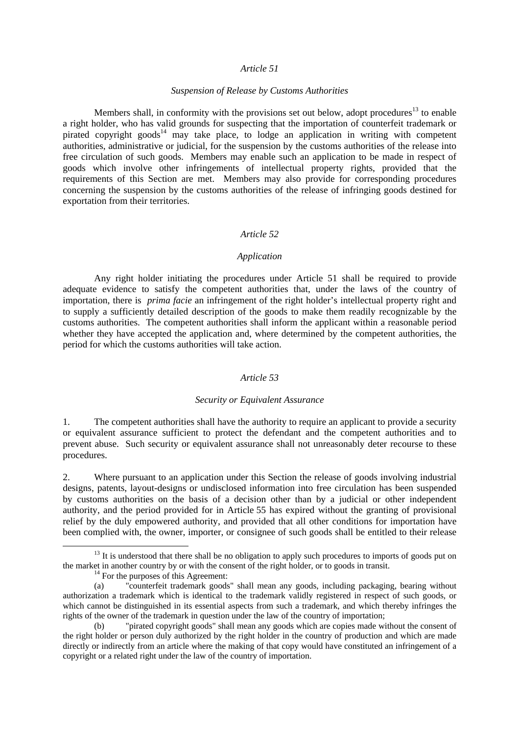### *Article 51*

## *Suspension of Release by Customs Authorities*

Members shall, in conformity with the provisions set out below, adopt procedures<sup>13</sup> to enable a right holder, who has valid grounds for suspecting that the importation of counterfeit trademark or pirated copyright goods<sup>14</sup> may take place, to lodge an application in writing with competent authorities, administrative or judicial, for the suspension by the customs authorities of the release into free circulation of such goods. Members may enable such an application to be made in respect of goods which involve other infringements of intellectual property rights, provided that the requirements of this Section are met. Members may also provide for corresponding procedures concerning the suspension by the customs authorities of the release of infringing goods destined for exportation from their territories.

### *Article 52*

## *Application*

 Any right holder initiating the procedures under Article 51 shall be required to provide adequate evidence to satisfy the competent authorities that, under the laws of the country of importation, there is *prima facie* an infringement of the right holder's intellectual property right and to supply a sufficiently detailed description of the goods to make them readily recognizable by the customs authorities. The competent authorities shall inform the applicant within a reasonable period whether they have accepted the application and, where determined by the competent authorities, the period for which the customs authorities will take action.

## *Article 53*

## *Security or Equivalent Assurance*

1. The competent authorities shall have the authority to require an applicant to provide a security or equivalent assurance sufficient to protect the defendant and the competent authorities and to prevent abuse. Such security or equivalent assurance shall not unreasonably deter recourse to these procedures.

2. Where pursuant to an application under this Section the release of goods involving industrial designs, patents, layout-designs or undisclosed information into free circulation has been suspended by customs authorities on the basis of a decision other than by a judicial or other independent authority, and the period provided for in Article 55 has expired without the granting of provisional relief by the duly empowered authority, and provided that all other conditions for importation have been complied with, the owner, importer, or consignee of such goods shall be entitled to their release

 $13$  It is understood that there shall be no obligation to apply such procedures to imports of goods put on the market in another country by or with the consent of the right holder, or to goods in transit. 14 For the purposes of this Agreement:

<sup>(</sup>a) "counterfeit trademark goods" shall mean any goods, including packaging, bearing without authorization a trademark which is identical to the trademark validly registered in respect of such goods, or which cannot be distinguished in its essential aspects from such a trademark, and which thereby infringes the rights of the owner of the trademark in question under the law of the country of importation;

<sup>(</sup>b) "pirated copyright goods" shall mean any goods which are copies made without the consent of the right holder or person duly authorized by the right holder in the country of production and which are made directly or indirectly from an article where the making of that copy would have constituted an infringement of a copyright or a related right under the law of the country of importation.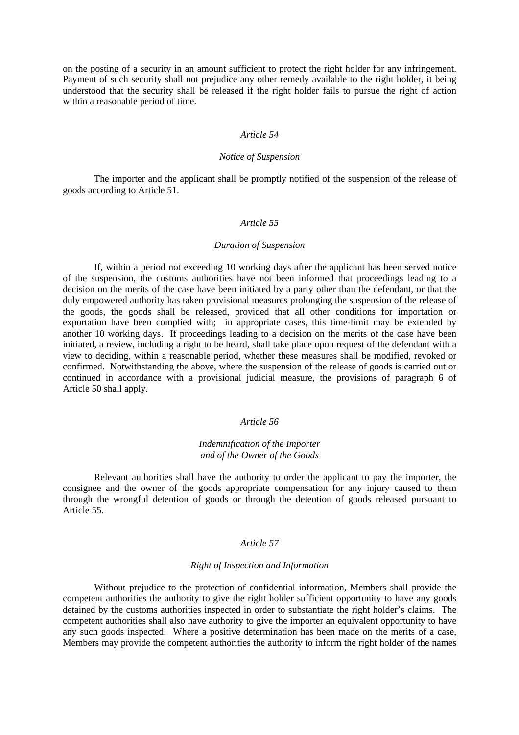on the posting of a security in an amount sufficient to protect the right holder for any infringement. Payment of such security shall not prejudice any other remedy available to the right holder, it being understood that the security shall be released if the right holder fails to pursue the right of action within a reasonable period of time.

#### *Article 54*

## *Notice of Suspension*

 The importer and the applicant shall be promptly notified of the suspension of the release of goods according to Article 51.

### *Article 55*

### *Duration of Suspension*

 If, within a period not exceeding 10 working days after the applicant has been served notice of the suspension, the customs authorities have not been informed that proceedings leading to a decision on the merits of the case have been initiated by a party other than the defendant, or that the duly empowered authority has taken provisional measures prolonging the suspension of the release of the goods, the goods shall be released, provided that all other conditions for importation or exportation have been complied with; in appropriate cases, this time-limit may be extended by another 10 working days. If proceedings leading to a decision on the merits of the case have been initiated, a review, including a right to be heard, shall take place upon request of the defendant with a view to deciding, within a reasonable period, whether these measures shall be modified, revoked or confirmed. Notwithstanding the above, where the suspension of the release of goods is carried out or continued in accordance with a provisional judicial measure, the provisions of paragraph 6 of Article 50 shall apply.

#### *Article 56*

# *Indemnification of the Importer and of the Owner of the Goods*

 Relevant authorities shall have the authority to order the applicant to pay the importer, the consignee and the owner of the goods appropriate compensation for any injury caused to them through the wrongful detention of goods or through the detention of goods released pursuant to Article 55.

### *Article 57*

#### *Right of Inspection and Information*

 Without prejudice to the protection of confidential information, Members shall provide the competent authorities the authority to give the right holder sufficient opportunity to have any goods detained by the customs authorities inspected in order to substantiate the right holder's claims. The competent authorities shall also have authority to give the importer an equivalent opportunity to have any such goods inspected. Where a positive determination has been made on the merits of a case, Members may provide the competent authorities the authority to inform the right holder of the names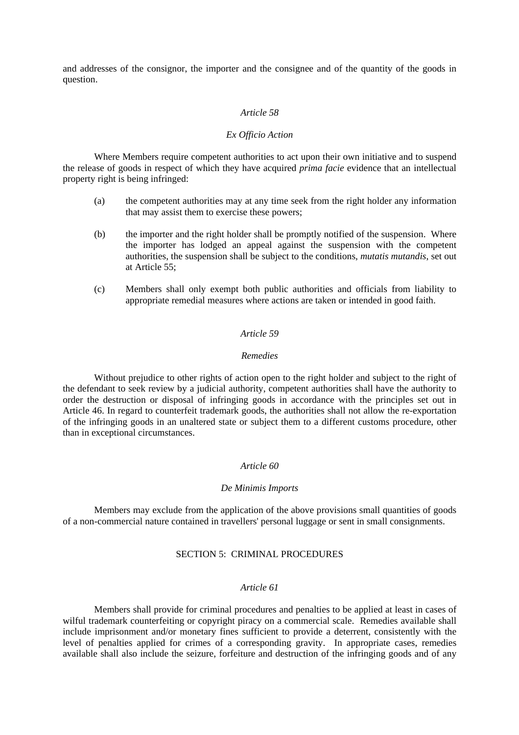and addresses of the consignor, the importer and the consignee and of the quantity of the goods in question.

## *Article 58*

#### *Ex Officio Action*

 Where Members require competent authorities to act upon their own initiative and to suspend the release of goods in respect of which they have acquired *prima facie* evidence that an intellectual property right is being infringed:

- (a) the competent authorities may at any time seek from the right holder any information that may assist them to exercise these powers;
- (b) the importer and the right holder shall be promptly notified of the suspension. Where the importer has lodged an appeal against the suspension with the competent authorities, the suspension shall be subject to the conditions, *mutatis mutandis*, set out at Article 55;
- (c) Members shall only exempt both public authorities and officials from liability to appropriate remedial measures where actions are taken or intended in good faith.

#### *Article 59*

#### *Remedies*

Without prejudice to other rights of action open to the right holder and subject to the right of the defendant to seek review by a judicial authority, competent authorities shall have the authority to order the destruction or disposal of infringing goods in accordance with the principles set out in Article 46. In regard to counterfeit trademark goods, the authorities shall not allow the re-exportation of the infringing goods in an unaltered state or subject them to a different customs procedure, other than in exceptional circumstances.

## *Article 60*

#### *De Minimis Imports*

 Members may exclude from the application of the above provisions small quantities of goods of a non-commercial nature contained in travellers' personal luggage or sent in small consignments.

# SECTION 5: CRIMINAL PROCEDURES

### *Article 61*

 Members shall provide for criminal procedures and penalties to be applied at least in cases of wilful trademark counterfeiting or copyright piracy on a commercial scale. Remedies available shall include imprisonment and/or monetary fines sufficient to provide a deterrent, consistently with the level of penalties applied for crimes of a corresponding gravity. In appropriate cases, remedies available shall also include the seizure, forfeiture and destruction of the infringing goods and of any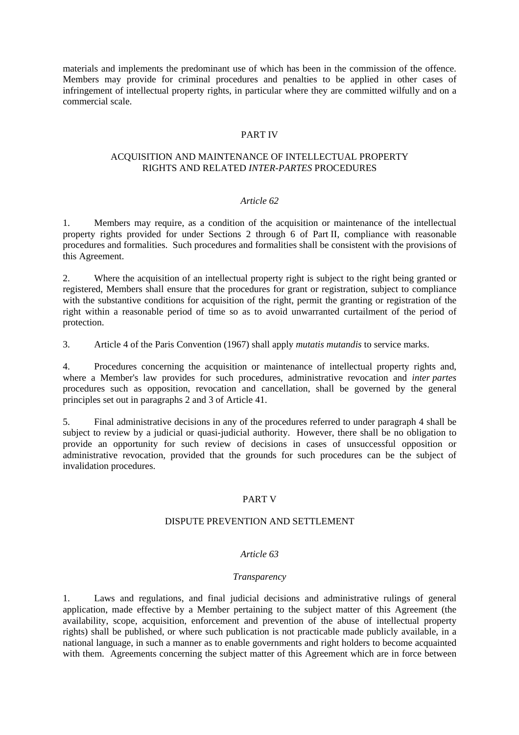materials and implements the predominant use of which has been in the commission of the offence. Members may provide for criminal procedures and penalties to be applied in other cases of infringement of intellectual property rights, in particular where they are committed wilfully and on a commercial scale.

## PART IV

## ACQUISITION AND MAINTENANCE OF INTELLECTUAL PROPERTY RIGHTS AND RELATED *INTER-PARTES* PROCEDURES

## *Article 62*

1. Members may require, as a condition of the acquisition or maintenance of the intellectual property rights provided for under Sections 2 through 6 of Part II, compliance with reasonable procedures and formalities. Such procedures and formalities shall be consistent with the provisions of this Agreement.

2. Where the acquisition of an intellectual property right is subject to the right being granted or registered, Members shall ensure that the procedures for grant or registration, subject to compliance with the substantive conditions for acquisition of the right, permit the granting or registration of the right within a reasonable period of time so as to avoid unwarranted curtailment of the period of protection.

3. Article 4 of the Paris Convention (1967) shall apply *mutatis mutandis* to service marks.

4. Procedures concerning the acquisition or maintenance of intellectual property rights and, where a Member's law provides for such procedures, administrative revocation and *inter partes* procedures such as opposition, revocation and cancellation, shall be governed by the general principles set out in paragraphs 2 and 3 of Article 41.

5. Final administrative decisions in any of the procedures referred to under paragraph 4 shall be subject to review by a judicial or quasi-judicial authority. However, there shall be no obligation to provide an opportunity for such review of decisions in cases of unsuccessful opposition or administrative revocation, provided that the grounds for such procedures can be the subject of invalidation procedures.

# PART V

# DISPUTE PREVENTION AND SETTLEMENT

# *Article 63*

### *Transparency*

1. Laws and regulations, and final judicial decisions and administrative rulings of general application, made effective by a Member pertaining to the subject matter of this Agreement (the availability, scope, acquisition, enforcement and prevention of the abuse of intellectual property rights) shall be published, or where such publication is not practicable made publicly available, in a national language, in such a manner as to enable governments and right holders to become acquainted with them. Agreements concerning the subject matter of this Agreement which are in force between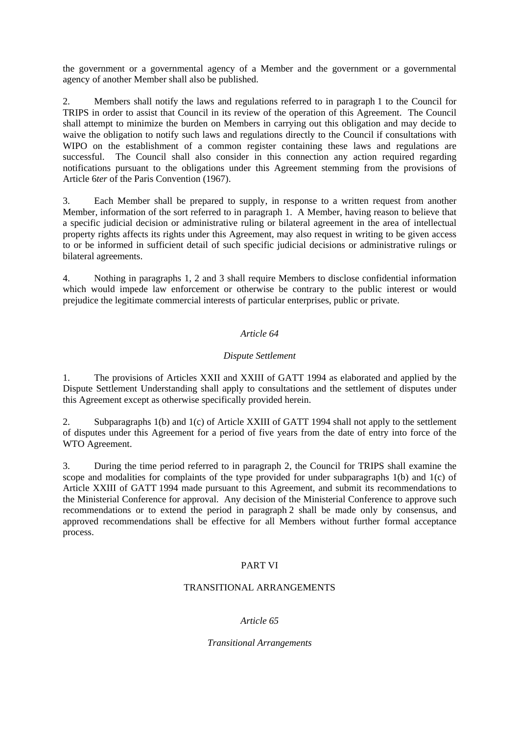the government or a governmental agency of a Member and the government or a governmental agency of another Member shall also be published.

2. Members shall notify the laws and regulations referred to in paragraph 1 to the Council for TRIPS in order to assist that Council in its review of the operation of this Agreement. The Council shall attempt to minimize the burden on Members in carrying out this obligation and may decide to waive the obligation to notify such laws and regulations directly to the Council if consultations with WIPO on the establishment of a common register containing these laws and regulations are successful. The Council shall also consider in this connection any action required regarding notifications pursuant to the obligations under this Agreement stemming from the provisions of Article 6*ter* of the Paris Convention (1967).

3. Each Member shall be prepared to supply, in response to a written request from another Member, information of the sort referred to in paragraph 1. A Member, having reason to believe that a specific judicial decision or administrative ruling or bilateral agreement in the area of intellectual property rights affects its rights under this Agreement, may also request in writing to be given access to or be informed in sufficient detail of such specific judicial decisions or administrative rulings or bilateral agreements.

4. Nothing in paragraphs 1, 2 and 3 shall require Members to disclose confidential information which would impede law enforcement or otherwise be contrary to the public interest or would prejudice the legitimate commercial interests of particular enterprises, public or private.

# *Article 64*

# *Dispute Settlement*

1. The provisions of Articles XXII and XXIII of GATT 1994 as elaborated and applied by the Dispute Settlement Understanding shall apply to consultations and the settlement of disputes under this Agreement except as otherwise specifically provided herein.

2. Subparagraphs 1(b) and 1(c) of Article XXIII of GATT 1994 shall not apply to the settlement of disputes under this Agreement for a period of five years from the date of entry into force of the WTO Agreement.

3. During the time period referred to in paragraph 2, the Council for TRIPS shall examine the scope and modalities for complaints of the type provided for under subparagraphs 1(b) and 1(c) of Article XXIII of GATT 1994 made pursuant to this Agreement, and submit its recommendations to the Ministerial Conference for approval. Any decision of the Ministerial Conference to approve such recommendations or to extend the period in paragraph 2 shall be made only by consensus, and approved recommendations shall be effective for all Members without further formal acceptance process.

# PART VI

# TRANSITIONAL ARRANGEMENTS

# *Article 65*

# *Transitional Arrangements*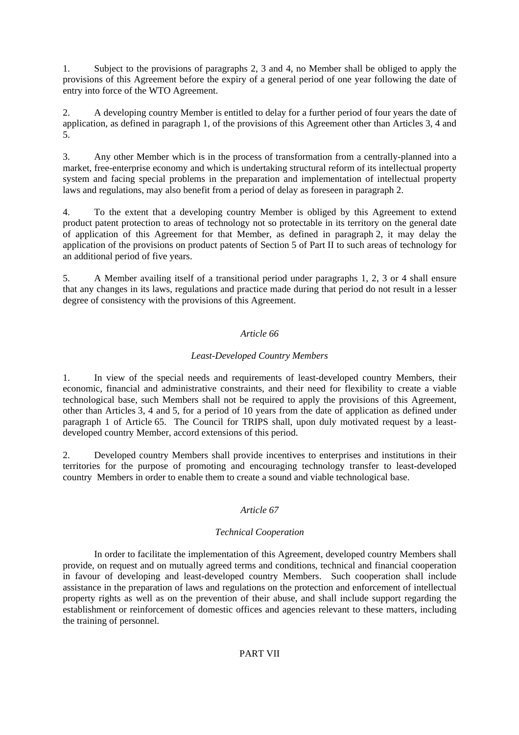1. Subject to the provisions of paragraphs 2, 3 and 4, no Member shall be obliged to apply the provisions of this Agreement before the expiry of a general period of one year following the date of entry into force of the WTO Agreement.

2. A developing country Member is entitled to delay for a further period of four years the date of application, as defined in paragraph 1, of the provisions of this Agreement other than Articles 3, 4 and 5.

3. Any other Member which is in the process of transformation from a centrally-planned into a market, free-enterprise economy and which is undertaking structural reform of its intellectual property system and facing special problems in the preparation and implementation of intellectual property laws and regulations, may also benefit from a period of delay as foreseen in paragraph 2.

4. To the extent that a developing country Member is obliged by this Agreement to extend product patent protection to areas of technology not so protectable in its territory on the general date of application of this Agreement for that Member, as defined in paragraph 2, it may delay the application of the provisions on product patents of Section 5 of Part II to such areas of technology for an additional period of five years.

5. A Member availing itself of a transitional period under paragraphs 1, 2, 3 or 4 shall ensure that any changes in its laws, regulations and practice made during that period do not result in a lesser degree of consistency with the provisions of this Agreement.

# *Article 66*

# *Least-Developed Country Members*

1. In view of the special needs and requirements of least-developed country Members, their economic, financial and administrative constraints, and their need for flexibility to create a viable technological base, such Members shall not be required to apply the provisions of this Agreement, other than Articles 3, 4 and 5, for a period of 10 years from the date of application as defined under paragraph 1 of Article 65. The Council for TRIPS shall, upon duly motivated request by a leastdeveloped country Member, accord extensions of this period.

2. Developed country Members shall provide incentives to enterprises and institutions in their territories for the purpose of promoting and encouraging technology transfer to least-developed country Members in order to enable them to create a sound and viable technological base.

# *Article 67*

# *Technical Cooperation*

 In order to facilitate the implementation of this Agreement, developed country Members shall provide, on request and on mutually agreed terms and conditions, technical and financial cooperation in favour of developing and least-developed country Members. Such cooperation shall include assistance in the preparation of laws and regulations on the protection and enforcement of intellectual property rights as well as on the prevention of their abuse, and shall include support regarding the establishment or reinforcement of domestic offices and agencies relevant to these matters, including the training of personnel.

# PART VII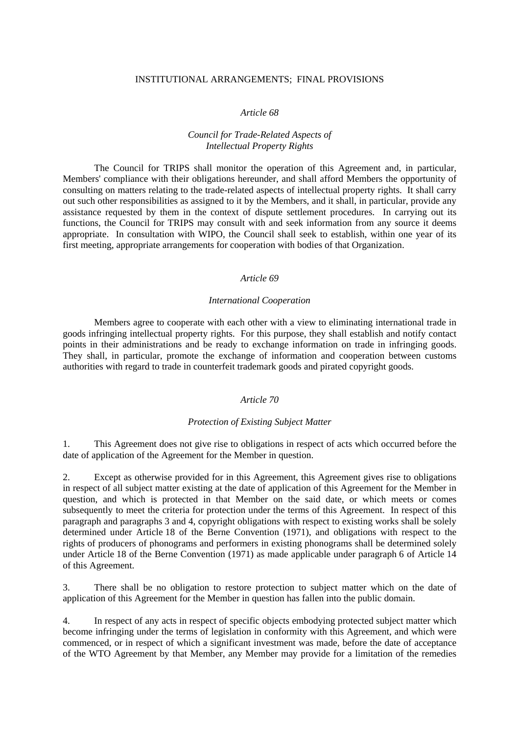#### INSTITUTIONAL ARRANGEMENTS; FINAL PROVISIONS

#### *Article 68*

### *Council for Trade-Related Aspects of Intellectual Property Rights*

 The Council for TRIPS shall monitor the operation of this Agreement and, in particular, Members' compliance with their obligations hereunder, and shall afford Members the opportunity of consulting on matters relating to the trade-related aspects of intellectual property rights. It shall carry out such other responsibilities as assigned to it by the Members, and it shall, in particular, provide any assistance requested by them in the context of dispute settlement procedures. In carrying out its functions, the Council for TRIPS may consult with and seek information from any source it deems appropriate. In consultation with WIPO, the Council shall seek to establish, within one year of its first meeting, appropriate arrangements for cooperation with bodies of that Organization.

### *Article 69*

#### *International Cooperation*

 Members agree to cooperate with each other with a view to eliminating international trade in goods infringing intellectual property rights. For this purpose, they shall establish and notify contact points in their administrations and be ready to exchange information on trade in infringing goods. They shall, in particular, promote the exchange of information and cooperation between customs authorities with regard to trade in counterfeit trademark goods and pirated copyright goods.

## *Article 70*

### *Protection of Existing Subject Matter*

1. This Agreement does not give rise to obligations in respect of acts which occurred before the date of application of the Agreement for the Member in question.

2. Except as otherwise provided for in this Agreement, this Agreement gives rise to obligations in respect of all subject matter existing at the date of application of this Agreement for the Member in question, and which is protected in that Member on the said date, or which meets or comes subsequently to meet the criteria for protection under the terms of this Agreement. In respect of this paragraph and paragraphs 3 and 4, copyright obligations with respect to existing works shall be solely determined under Article 18 of the Berne Convention (1971), and obligations with respect to the rights of producers of phonograms and performers in existing phonograms shall be determined solely under Article 18 of the Berne Convention (1971) as made applicable under paragraph 6 of Article 14 of this Agreement.

3. There shall be no obligation to restore protection to subject matter which on the date of application of this Agreement for the Member in question has fallen into the public domain.

4. In respect of any acts in respect of specific objects embodying protected subject matter which become infringing under the terms of legislation in conformity with this Agreement, and which were commenced, or in respect of which a significant investment was made, before the date of acceptance of the WTO Agreement by that Member, any Member may provide for a limitation of the remedies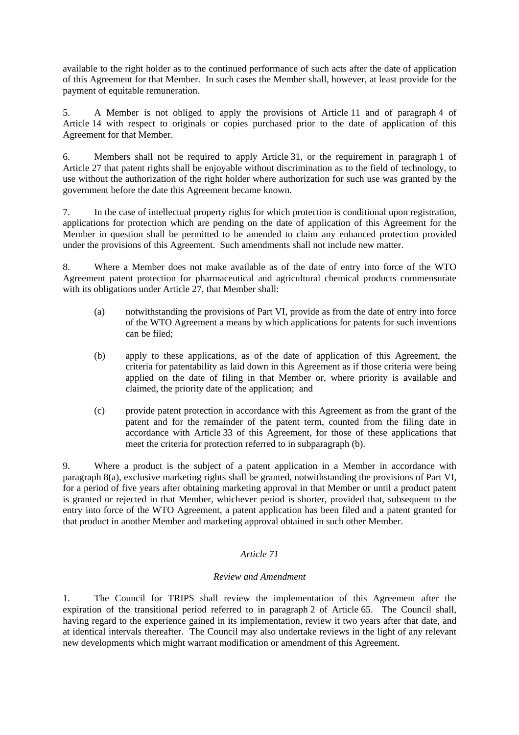available to the right holder as to the continued performance of such acts after the date of application of this Agreement for that Member. In such cases the Member shall, however, at least provide for the payment of equitable remuneration.

5. A Member is not obliged to apply the provisions of Article 11 and of paragraph 4 of Article 14 with respect to originals or copies purchased prior to the date of application of this Agreement for that Member.

6. Members shall not be required to apply Article 31, or the requirement in paragraph 1 of Article 27 that patent rights shall be enjoyable without discrimination as to the field of technology, to use without the authorization of the right holder where authorization for such use was granted by the government before the date this Agreement became known.

7. In the case of intellectual property rights for which protection is conditional upon registration, applications for protection which are pending on the date of application of this Agreement for the Member in question shall be permitted to be amended to claim any enhanced protection provided under the provisions of this Agreement. Such amendments shall not include new matter.

8. Where a Member does not make available as of the date of entry into force of the WTO Agreement patent protection for pharmaceutical and agricultural chemical products commensurate with its obligations under Article 27, that Member shall:

- (a) notwithstanding the provisions of Part VI, provide as from the date of entry into force of the WTO Agreement a means by which applications for patents for such inventions can be filed;
- (b) apply to these applications, as of the date of application of this Agreement, the criteria for patentability as laid down in this Agreement as if those criteria were being applied on the date of filing in that Member or, where priority is available and claimed, the priority date of the application; and
- (c) provide patent protection in accordance with this Agreement as from the grant of the patent and for the remainder of the patent term, counted from the filing date in accordance with Article 33 of this Agreement, for those of these applications that meet the criteria for protection referred to in subparagraph (b).

9. Where a product is the subject of a patent application in a Member in accordance with paragraph 8(a), exclusive marketing rights shall be granted, notwithstanding the provisions of Part VI, for a period of five years after obtaining marketing approval in that Member or until a product patent is granted or rejected in that Member, whichever period is shorter, provided that, subsequent to the entry into force of the WTO Agreement, a patent application has been filed and a patent granted for that product in another Member and marketing approval obtained in such other Member.

# *Article 71*

# *Review and Amendment*

1. The Council for TRIPS shall review the implementation of this Agreement after the expiration of the transitional period referred to in paragraph 2 of Article 65. The Council shall, having regard to the experience gained in its implementation, review it two years after that date, and at identical intervals thereafter. The Council may also undertake reviews in the light of any relevant new developments which might warrant modification or amendment of this Agreement.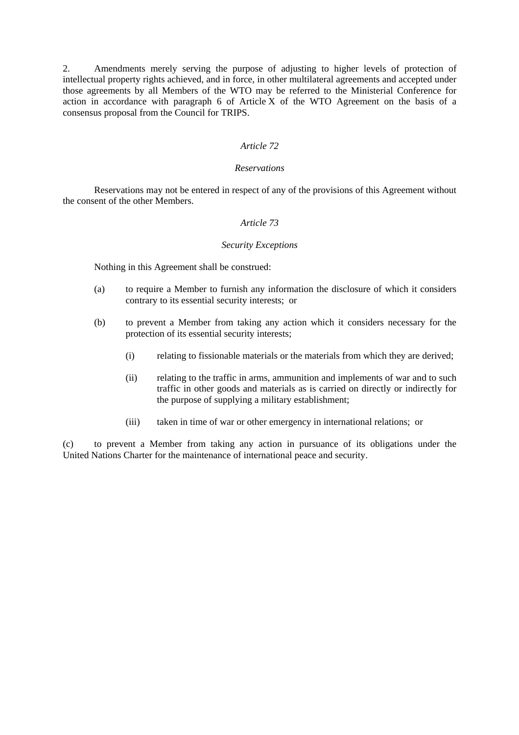2. Amendments merely serving the purpose of adjusting to higher levels of protection of intellectual property rights achieved, and in force, in other multilateral agreements and accepted under those agreements by all Members of the WTO may be referred to the Ministerial Conference for action in accordance with paragraph 6 of Article X of the WTO Agreement on the basis of a consensus proposal from the Council for TRIPS.

## *Article 72*

### *Reservations*

 Reservations may not be entered in respect of any of the provisions of this Agreement without the consent of the other Members.

## *Article 73*

# *Security Exceptions*

Nothing in this Agreement shall be construed:

- (a) to require a Member to furnish any information the disclosure of which it considers contrary to its essential security interests; or
- (b) to prevent a Member from taking any action which it considers necessary for the protection of its essential security interests;
	- (i) relating to fissionable materials or the materials from which they are derived;
	- (ii) relating to the traffic in arms, ammunition and implements of war and to such traffic in other goods and materials as is carried on directly or indirectly for the purpose of supplying a military establishment;
	- (iii) taken in time of war or other emergency in international relations; or

(c) to prevent a Member from taking any action in pursuance of its obligations under the United Nations Charter for the maintenance of international peace and security.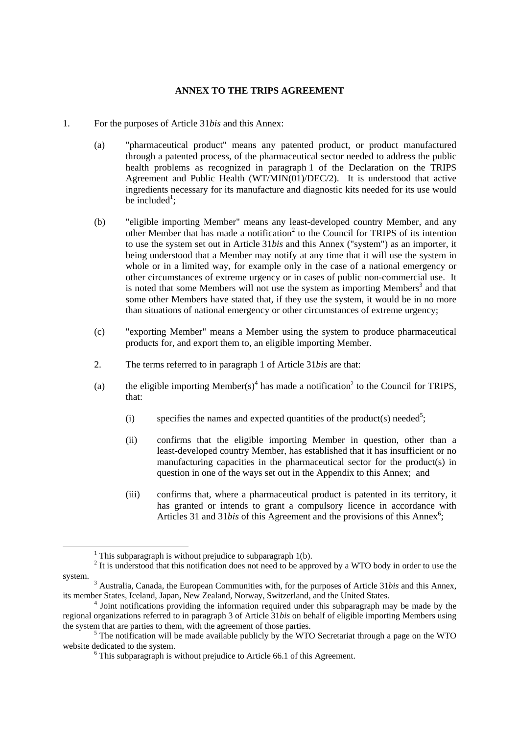# **ANNEX TO THE TRIPS AGREEMENT**

- 1. For the purposes of Article 31*bis* and this Annex:
	- (a) "pharmaceutical product" means any patented product, or product manufactured through a patented process, of the pharmaceutical sector needed to address the public health problems as recognized in paragraph 1 of the Declaration on the TRIPS Agreement and Public Health  $(WT\overline{MIN(01)/DEC/2})$ . It is understood that active ingredients necessary for its manufacture and diagnostic kits needed for its use would be included<sup>1</sup>;
	- (b) "eligible importing Member" means any least-developed country Member, and any other Member that has made a notification<sup>2</sup> to the Council for TRIPS of its intention to use the system set out in Article 31*bis* and this Annex ("system") as an importer, it being understood that a Member may notify at any time that it will use the system in whole or in a limited way, for example only in the case of a national emergency or other circumstances of extreme urgency or in cases of public non-commercial use. It is noted that some Members will not use the system as importing Members<sup>3</sup> and that some other Members have stated that, if they use the system, it would be in no more than situations of national emergency or other circumstances of extreme urgency;
	- (c) "exporting Member" means a Member using the system to produce pharmaceutical products for, and export them to, an eligible importing Member.
	- 2. The terms referred to in paragraph 1 of Article 31*bis* are that:
	- (a) the eligible importing Member(s)<sup>4</sup> has made a notification<sup>2</sup> to the Council for TRIPS, that:
		- (i) specifies the names and expected quantities of the product(s) needed<sup>5</sup>;
		- (ii) confirms that the eligible importing Member in question, other than a least-developed country Member, has established that it has insufficient or no manufacturing capacities in the pharmaceutical sector for the product(s) in question in one of the ways set out in the Appendix to this Annex; and
		- (iii) confirms that, where a pharmaceutical product is patented in its territory, it has granted or intends to grant a compulsory licence in accordance with Articles 31 and 31*bis* of this Agreement and the provisions of this Annex<sup>6</sup>;

<sup>&</sup>lt;u>1</u> <sup>1</sup> This subparagraph is without prejudice to subparagraph  $1(b)$ .

 $2<sup>2</sup>$  It is understood that this notification does not need to be approved by a WTO body in order to use the system.

Australia, Canada, the European Communities with, for the purposes of Article 31*bis* and this Annex, its member States, Iceland, Japan, New Zealand, Norway, Switzerland, and the United States. 4

<sup>&</sup>lt;sup>4</sup> Joint notifications providing the information required under this subparagraph may be made by the regional organizations referred to in paragraph 3 of Article 31*bis* on behalf of eligible importing Members using the system that are parties to them, with the agreement of those parties.

 $<sup>5</sup>$  The notification will be made available publicly by the WTO Secretariat through a page on the WTO</sup> website dedicated to the system.

 $6$  This subparagraph is without prejudice to Article 66.1 of this Agreement.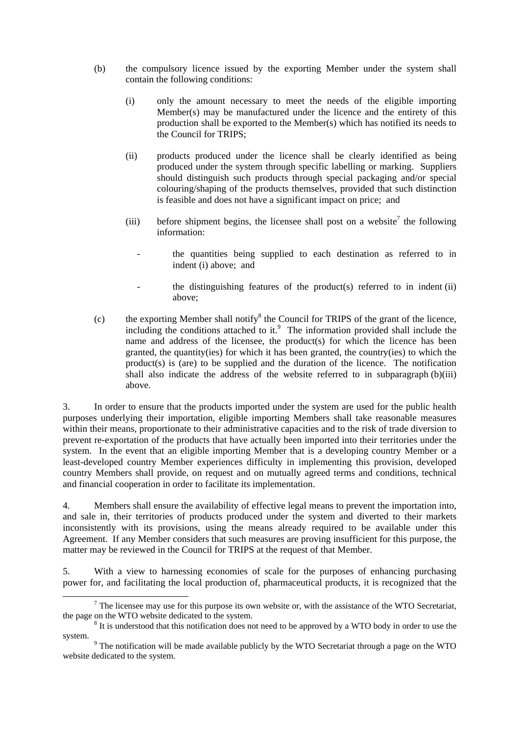- (b) the compulsory licence issued by the exporting Member under the system shall contain the following conditions:
	- (i) only the amount necessary to meet the needs of the eligible importing Member(s) may be manufactured under the licence and the entirety of this production shall be exported to the Member(s) which has notified its needs to the Council for TRIPS;
	- (ii) products produced under the licence shall be clearly identified as being produced under the system through specific labelling or marking. Suppliers should distinguish such products through special packaging and/or special colouring/shaping of the products themselves, provided that such distinction is feasible and does not have a significant impact on price; and
	- (iii) before shipment begins, the licensee shall post on a website<sup>7</sup> the following information:
		- the quantities being supplied to each destination as referred to in indent (i) above; and
		- the distinguishing features of the product(s) referred to in indent (ii) above;
- (c) the exporting Member shall notify<sup>8</sup> the Council for TRIPS of the grant of the licence, including the conditions attached to it. $9$  The information provided shall include the name and address of the licensee, the product(s) for which the licence has been granted, the quantity(ies) for which it has been granted, the country(ies) to which the product(s) is (are) to be supplied and the duration of the licence. The notification shall also indicate the address of the website referred to in subparagraph (b)(iii) above.

3. In order to ensure that the products imported under the system are used for the public health purposes underlying their importation, eligible importing Members shall take reasonable measures within their means, proportionate to their administrative capacities and to the risk of trade diversion to prevent re-exportation of the products that have actually been imported into their territories under the system. In the event that an eligible importing Member that is a developing country Member or a least-developed country Member experiences difficulty in implementing this provision, developed country Members shall provide, on request and on mutually agreed terms and conditions, technical and financial cooperation in order to facilitate its implementation.

4. Members shall ensure the availability of effective legal means to prevent the importation into, and sale in, their territories of products produced under the system and diverted to their markets inconsistently with its provisions, using the means already required to be available under this Agreement. If any Member considers that such measures are proving insufficient for this purpose, the matter may be reviewed in the Council for TRIPS at the request of that Member.

5. With a view to harnessing economies of scale for the purposes of enhancing purchasing power for, and facilitating the local production of, pharmaceutical products, it is recognized that the

 <sup>7</sup>  $\frac{7}{1}$  The licensee may use for this purpose its own website or, with the assistance of the WTO Secretariat, the page on the WTO website dedicated to the system.

<sup>&</sup>lt;sup>8</sup> It is understood that this notification does not need to be approved by a WTO body in order to use the system.

 $9$  The notification will be made available publicly by the WTO Secretariat through a page on the WTO website dedicated to the system.